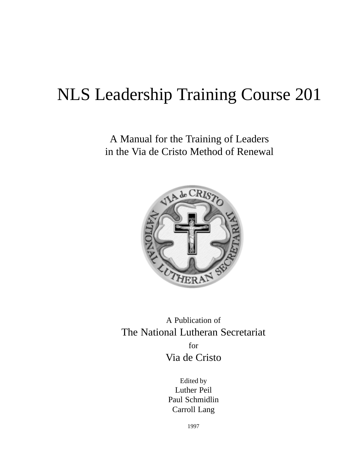# NLS Leadership Training Course 201

A Manual for the Training of Leaders in the Via de Cristo Method of Renewal



A Publication of The National Lutheran Secretariat for Via de Cristo

> Edited by Luther Peil Paul Schmidlin Carroll Lang

> > 1997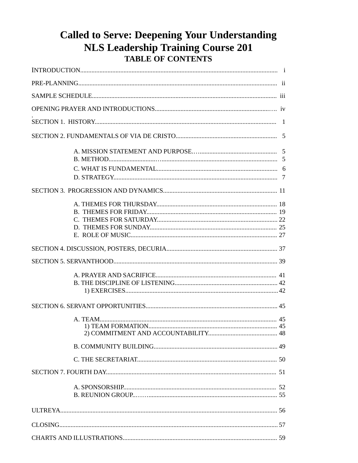## **Called to Serve: Deepening Your Understanding NLS Leadership Training Course 201** TABLE OF CONTENTS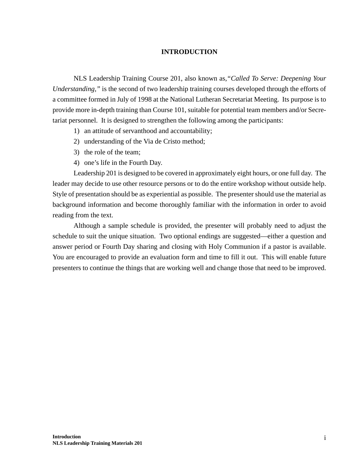#### **INTRODUCTION**

NLS Leadership Training Course 201, also known as,*"Called To Serve: Deepening Your Understanding,"* is the second of two leadership training courses developed through the efforts of a committee formed in July of 1998 at the National Lutheran Secretariat Meeting. Its purpose is to provide more in-depth training than Course 101, suitable for potential team members and/or Secretariat personnel. It is designed to strengthen the following among the participants:

- 1) an attitude of servanthood and accountability;
- 2) understanding of the Via de Cristo method;
- 3) the role of the team;
- 4) one's life in the Fourth Day.

Leadership 201 is designed to be covered in approximately eight hours, or one full day. The leader may decide to use other resource persons or to do the entire workshop without outside help. Style of presentation should be as experiential as possible. The presenter should use the material as background information and become thoroughly familiar with the information in order to avoid reading from the text.

Although a sample schedule is provided, the presenter will probably need to adjust the schedule to suit the unique situation. Two optional endings are suggested—either a question and answer period or Fourth Day sharing and closing with Holy Communion if a pastor is available. You are encouraged to provide an evaluation form and time to fill it out. This will enable future presenters to continue the things that are working well and change those that need to be improved.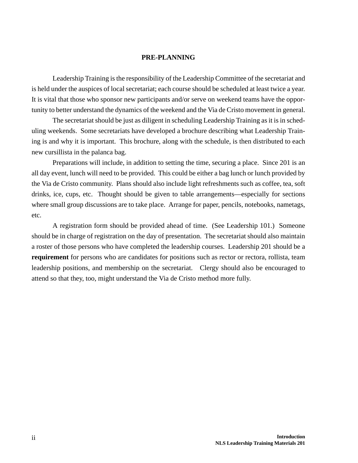#### **PRE-PLANNING**

Leadership Training is the responsibility of the Leadership Committee of the secretariat and is held under the auspices of local secretariat; each course should be scheduled at least twice a year. It is vital that those who sponsor new participants and/or serve on weekend teams have the opportunity to better understand the dynamics of the weekend and the Via de Cristo movement in general.

The secretariat should be just as diligent in scheduling Leadership Training as it is in scheduling weekends. Some secretariats have developed a brochure describing what Leadership Training is and why it is important. This brochure, along with the schedule, is then distributed to each new cursillista in the palanca bag.

Preparations will include, in addition to setting the time, securing a place. Since 201 is an all day event, lunch will need to be provided. This could be either a bag lunch or lunch provided by the Via de Cristo community. Plans should also include light refreshments such as coffee, tea, soft drinks, ice, cups, etc. Thought should be given to table arrangements—especially for sections where small group discussions are to take place. Arrange for paper, pencils, notebooks, nametags, etc.

A registration form should be provided ahead of time. (See Leadership 101.) Someone should be in charge of registration on the day of presentation. The secretariat should also maintain a roster of those persons who have completed the leadership courses. Leadership 201 should be a **requirement** for persons who are candidates for positions such as rector or rectora, rollista, team leadership positions, and membership on the secretariat. Clergy should also be encouraged to attend so that they, too, might understand the Via de Cristo method more fully.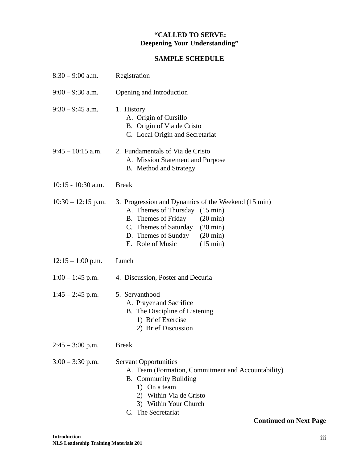### **"CALLED TO SERVE: Deepening Your Understanding"**

### **SAMPLE SCHEDULE**

| $8:30 - 9:00$ a.m.   | Registration                                                                                                                                                                                                                                                             |
|----------------------|--------------------------------------------------------------------------------------------------------------------------------------------------------------------------------------------------------------------------------------------------------------------------|
| $9:00 - 9:30$ a.m.   | Opening and Introduction                                                                                                                                                                                                                                                 |
| $9:30 - 9:45$ a.m.   | 1. History<br>A. Origin of Cursillo<br>B. Origin of Via de Cristo<br>C. Local Origin and Secretariat                                                                                                                                                                     |
| $9:45 - 10:15$ a.m.  | 2. Fundamentals of Via de Cristo<br>A. Mission Statement and Purpose<br><b>B.</b> Method and Strategy                                                                                                                                                                    |
| $10:15 - 10:30$ a.m. | <b>Break</b>                                                                                                                                                                                                                                                             |
| $10:30 - 12:15$ p.m. | 3. Progression and Dynamics of the Weekend (15 min)<br>A. Themes of Thursday (15 min)<br>B. Themes of Friday<br>$(20 \text{ min})$<br>C. Themes of Saturday<br>$(20 \text{ min})$<br>D. Themes of Sunday<br>$(20 \text{ min})$<br>E. Role of Music<br>$(15 \text{ min})$ |
| $12:15 - 1:00$ p.m.  | Lunch                                                                                                                                                                                                                                                                    |
| $1:00 - 1:45$ p.m.   | 4. Discussion, Poster and Decuria                                                                                                                                                                                                                                        |
| $1:45 - 2:45$ p.m.   | 5. Servanthood<br>A. Prayer and Sacrifice<br>B. The Discipline of Listening<br>1) Brief Exercise<br>2) Brief Discussion                                                                                                                                                  |
| $2:45 - 3:00$ p.m.   | <b>Break</b>                                                                                                                                                                                                                                                             |
| $3:00 - 3:30$ p.m.   | <b>Servant Opportunities</b><br>A. Team (Formation, Commitment and Accountability)<br><b>B.</b> Community Building<br>1) On a team<br>2) Within Via de Cristo<br>3) Within Your Church<br>C. The Secretariat<br><b>Continued on Next Page</b>                            |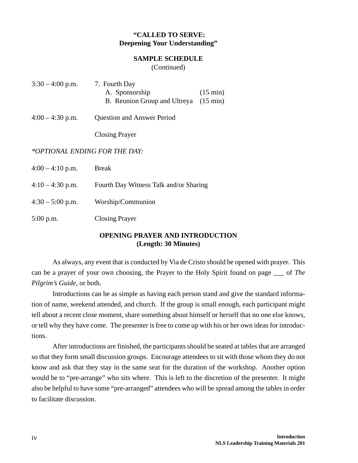### **"CALLED TO SERVE: Deepening Your Understanding"**

#### **SAMPLE SCHEDULE**

(Continued)

- $3:30 4:00$  p.m.  $7.$  Fourth Day A. Sponsorship (15 min) B. Reunion Group and Ultreya (15 min)
- 4:00 4:30 p.m. Question and Answer Period

Closing Prayer

#### *\*OPTIONAL ENDING FOR THE DAY:*

| $4:00 - 4:10$ p.m. | <b>Break</b>                           |
|--------------------|----------------------------------------|
| $4:10 - 4:30$ p.m. | Fourth Day Witness Talk and/or Sharing |
| $4:30 - 5:00$ p.m. | Worship/Communion                      |
| $5:00$ p.m.        | <b>Closing Prayer</b>                  |

### **OPENING PRAYER AND INTRODUCTION (Length: 30 Minutes)**

As always, any event that is conducted by Via de Cristo should be opened with prayer. This can be a prayer of your own choosing, the Prayer to the Holy Spirit found on page \_\_\_ of *The Pilgrim's Guide,* or both.

Introductions can be as simple as having each person stand and give the standard information of name, weekend attended, and church. If the group is small enough, each participant might tell about a recent close moment, share something about himself or herself that no one else knows, or tell why they have come. The presenter is free to come up with his or her own ideas for introductions.

After introductions are finished, the participants should be seated at tables that are arranged so that they form small discussion groups. Encourage attendees to sit with those whom they do not know and ask that they stay in the same seat for the duration of the workshop. Another option would be to "pre-arrange" who sits where. This is left to the discretion of the presenter. It might also be helpful to have some "pre-arranged" attendees who will be spread among the tables in order to facilitate discussion.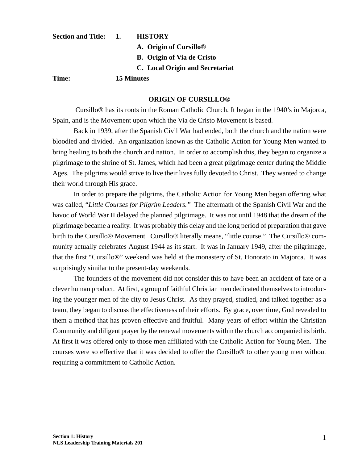| Section and Title: 1. | <b>HISTORY</b>                     |  |
|-----------------------|------------------------------------|--|
|                       | A. Origin of Cursillo <sup>®</sup> |  |
|                       | <b>B.</b> Origin of Via de Cristo  |  |
|                       | C. Local Origin and Secretariat    |  |
| Time:                 | 15 Minutes                         |  |

#### **ORIGIN OF CURSILLO®**

 Cursillo® has its roots in the Roman Catholic Church. It began in the 1940's in Majorca, Spain, and is the Movement upon which the Via de Cristo Movement is based.

Back in 1939, after the Spanish Civil War had ended, both the church and the nation were bloodied and divided. An organization known as the Catholic Action for Young Men wanted to bring healing to both the church and nation. In order to accomplish this, they began to organize a pilgrimage to the shrine of St. James, which had been a great pilgrimage center during the Middle Ages. The pilgrims would strive to live their lives fully devoted to Christ. They wanted to change their world through His grace.

In order to prepare the pilgrims, the Catholic Action for Young Men began offering what was called, "*Little Courses for Pilgrim Leaders."* The aftermath of the Spanish Civil War and the havoc of World War II delayed the planned pilgrimage. It was not until 1948 that the dream of the pilgrimage became a reality. It was probably this delay and the long period of preparation that gave birth to the Cursillo® Movement. Cursillo® literally means, "little course." The Cursillo® community actually celebrates August 1944 as its start. It was in January 1949, after the pilgrimage, that the first "Cursillo®" weekend was held at the monastery of St. Honorato in Majorca. It was surprisingly similar to the present-day weekends.

The founders of the movement did not consider this to have been an accident of fate or a clever human product. At first, a group of faithful Christian men dedicated themselves to introducing the younger men of the city to Jesus Christ. As they prayed, studied, and talked together as a team, they began to discuss the effectiveness of their efforts. By grace, over time, God revealed to them a method that has proven effective and fruitful. Many years of effort within the Christian Community and diligent prayer by the renewal movements within the church accompanied its birth. At first it was offered only to those men affiliated with the Catholic Action for Young Men. The courses were so effective that it was decided to offer the Cursillo® to other young men without requiring a commitment to Catholic Action.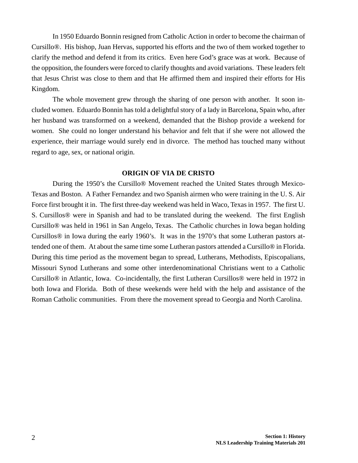In 1950 Eduardo Bonnin resigned from Catholic Action in order to become the chairman of Cursillo®. His bishop, Juan Hervas, supported his efforts and the two of them worked together to clarify the method and defend it from its critics. Even here God's grace was at work. Because of the opposition, the founders were forced to clarify thoughts and avoid variations. These leaders felt that Jesus Christ was close to them and that He affirmed them and inspired their efforts for His Kingdom.

The whole movement grew through the sharing of one person with another. It soon included women. Eduardo Bonnin has told a delightful story of a lady in Barcelona, Spain who, after her husband was transformed on a weekend, demanded that the Bishop provide a weekend for women. She could no longer understand his behavior and felt that if she were not allowed the experience, their marriage would surely end in divorce. The method has touched many without regard to age, sex, or national origin.

#### **ORIGIN OF VIA DE CRISTO**

During the 1950's the Cursillo® Movement reached the United States through Mexico-Texas and Boston. A Father Fernandez and two Spanish airmen who were training in the U. S. Air Force first brought it in. The first three-day weekend was held in Waco, Texas in 1957. The first U. S. Cursillos® were in Spanish and had to be translated during the weekend. The first English Cursillo® was held in 1961 in San Angelo, Texas. The Catholic churches in Iowa began holding Cursillos® in Iowa during the early 1960's. It was in the 1970's that some Lutheran pastors attended one of them. At about the same time some Lutheran pastors attended a Cursillo® in Florida. During this time period as the movement began to spread, Lutherans, Methodists, Episcopalians, Missouri Synod Lutherans and some other interdenominational Christians went to a Catholic Cursillo® in Atlantic, Iowa. Co-incidentally, the first Lutheran Cursillos® were held in 1972 in both Iowa and Florida. Both of these weekends were held with the help and assistance of the Roman Catholic communities. From there the movement spread to Georgia and North Carolina.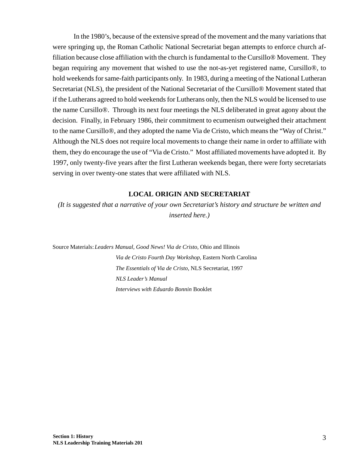In the 1980's, because of the extensive spread of the movement and the many variations that were springing up, the Roman Catholic National Secretariat began attempts to enforce church affiliation because close affiliation with the church is fundamental to the Cursillo® Movement. They began requiring any movement that wished to use the not-as-yet registered name, Cursillo®, to hold weekends for same-faith participants only. In 1983, during a meeting of the National Lutheran Secretariat (NLS), the president of the National Secretariat of the Cursillo® Movement stated that if the Lutherans agreed to hold weekends for Lutherans only, then the NLS would be licensed to use the name Cursillo®. Through its next four meetings the NLS deliberated in great agony about the decision. Finally, in February 1986, their commitment to ecumenism outweighed their attachment to the name Cursillo®, and they adopted the name Via de Cristo, which means the "Way of Christ." Although the NLS does not require local movements to change their name in order to affiliate with them, they do encourage the use of "Via de Cristo." Most affiliated movements have adopted it. By 1997, only twenty-five years after the first Lutheran weekends began, there were forty secretariats serving in over twenty-one states that were affiliated with NLS.

### **LOCAL ORIGIN AND SECRETARIAT**

*(It is suggested that a narrative of your own Secretariat's history and structure be written and inserted here.)*

Source Materials:*Leaders Manual, Good News! Via de Cristo,* Ohio and Illinois *Via de Cristo Fourth Day Workshop,* Eastern North Carolina *The Essentials of Via de Cristo,* NLS Secretariat, 1997 *NLS Leader's Manual Interviews with Eduardo Bonnin* Booklet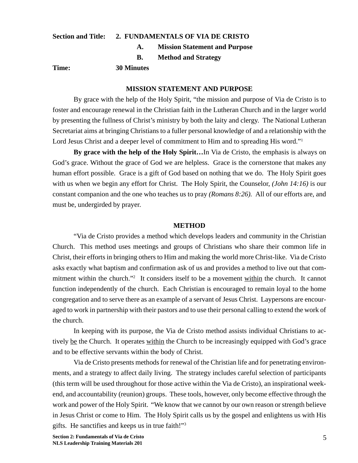#### **Section and Title: 2. FUNDAMENTALS OF VIA DE CRISTO**

- **A. Mission Statement and Purpose**
- **B. Method and Strategy**

**Time: 30 Minutes**

#### **MISSION STATEMENT AND PURPOSE**

By grace with the help of the Holy Spirit, "the mission and purpose of Via de Cristo is to foster and encourage renewal in the Christian faith in the Lutheran Church and in the larger world by presenting the fullness of Christ's ministry by both the laity and clergy. The National Lutheran Secretariat aims at bringing Christians to a fuller personal knowledge of and a relationship with the Lord Jesus Christ and a deeper level of commitment to Him and to spreading His word."<sup>1</sup>

**By grace with the help of the Holy Spirit…**In Via de Cristo, the emphasis is always on God's grace. Without the grace of God we are helpless. Grace is the cornerstone that makes any human effort possible. Grace is a gift of God based on nothing that we do. The Holy Spirit goes with us when we begin any effort for Christ. The Holy Spirit, the Counselor, *(John 14:16)* is our constant companion and the one who teaches us to pray *(Romans 8:26).* All of our efforts are, and must be, undergirded by prayer.

#### **METHOD**

"Via de Cristo provides a method which develops leaders and community in the Christian Church. This method uses meetings and groups of Christians who share their common life in Christ, their efforts in bringing others to Him and making the world more Christ-like. Via de Cristo asks exactly what baptism and confirmation ask of us and provides a method to live out that commitment within the church."<sup>2</sup> It considers itself to be a movement within the church. It cannot function independently of the church. Each Christian is encouraged to remain loyal to the home congregation and to serve there as an example of a servant of Jesus Christ. Laypersons are encouraged to work in partnership with their pastors and to use their personal calling to extend the work of the church.

In keeping with its purpose, the Via de Cristo method assists individual Christians to actively be the Church. It operates within the Church to be increasingly equipped with God's grace and to be effective servants within the body of Christ.

Via de Cristo presents methods for renewal of the Christian life and for penetrating environments, and a strategy to affect daily living. The strategy includes careful selection of participants (this term will be used throughout for those active within the Via de Cristo), an inspirational weekend, and accountability (reunion) groups. These tools, however, only become effective through the work and power of the Holy Spirit. "We know that we cannot by our own reason or strength believe in Jesus Christ or come to Him. The Holy Spirit calls us by the gospel and enlightens us with His gifts. He sanctifies and keeps us in true faith!"3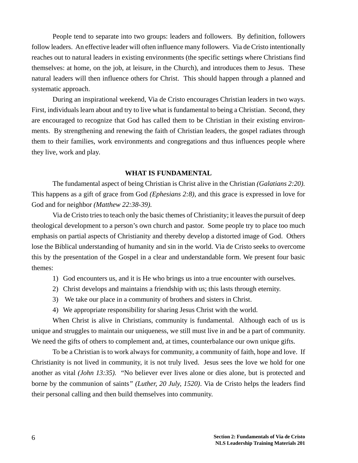People tend to separate into two groups: leaders and followers. By definition, followers follow leaders. An effective leader will often influence many followers. Via de Cristo intentionally reaches out to natural leaders in existing environments (the specific settings where Christians find themselves: at home, on the job, at leisure, in the Church), and introduces them to Jesus. These natural leaders will then influence others for Christ. This should happen through a planned and systematic approach.

During an inspirational weekend, Via de Cristo encourages Christian leaders in two ways. First, individuals learn about and try to live what is fundamental to being a Christian. Second, they are encouraged to recognize that God has called them to be Christian in their existing environments. By strengthening and renewing the faith of Christian leaders, the gospel radiates through them to their families, work environments and congregations and thus influences people where they live, work and play.

#### **WHAT IS FUNDAMENTAL**

The fundamental aspect of being Christian is Christ alive in the Christian *(Galatians 2:20).* This happens as a gift of grace from God *(Ephesians 2:8),* and this grace is expressed in love for God and for neighbor *(Matthew 22:38-39).*

Via de Cristo tries to teach only the basic themes of Christianity; it leaves the pursuit of deep theological development to a person's own church and pastor. Some people try to place too much emphasis on partial aspects of Christianity and thereby develop a distorted image of God. Others lose the Biblical understanding of humanity and sin in the world. Via de Cristo seeks to overcome this by the presentation of the Gospel in a clear and understandable form. We present four basic themes:

- 1) God encounters us, and it is He who brings us into a true encounter with ourselves.
- 2) Christ develops and maintains a friendship with us; this lasts through eternity.
- 3) We take our place in a community of brothers and sisters in Christ.
- 4) We appropriate responsibility for sharing Jesus Christ with the world.

When Christ is alive in Christians, community is fundamental. Although each of us is unique and struggles to maintain our uniqueness, we still must live in and be a part of community. We need the gifts of others to complement and, at times, counterbalance our own unique gifts.

To be a Christian is to work always for community, a community of faith, hope and love. If Christianity is not lived in community, it is not truly lived. Jesus sees the love we hold for one another as vital *(John 13:35).* "No believer ever lives alone or dies alone, but is protected and borne by the communion of saints*" (Luther, 20 July, 1520)*. Via de Cristo helps the leaders find their personal calling and then build themselves into community.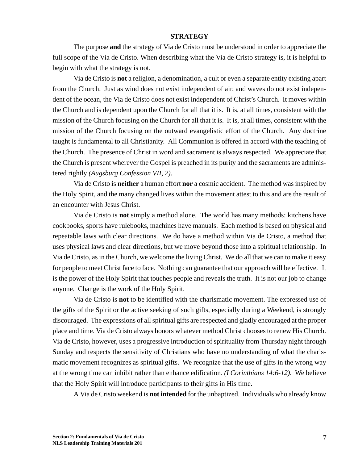#### **STRATEGY**

The purpose **and** the strategy of Via de Cristo must be understood in order to appreciate the full scope of the Via de Cristo. When describing what the Via de Cristo strategy is, it is helpful to begin with what the strategy is not.

Via de Cristo is **not** a religion, a denomination, a cult or even a separate entity existing apart from the Church. Just as wind does not exist independent of air, and waves do not exist independent of the ocean, the Via de Cristo does not exist independent of Christ's Church. It moves within the Church and is dependent upon the Church for all that it is. It is, at all times, consistent with the mission of the Church focusing on the Church for all that it is. It is, at all times, consistent with the mission of the Church focusing on the outward evangelistic effort of the Church. Any doctrine taught is fundamental to all Christianity. All Communion is offered in accord with the teaching of the Church. The presence of Christ in word and sacrament is always respected. We appreciate that the Church is present wherever the Gospel is preached in its purity and the sacraments are administered rightly *(Augsburg Confession VII, 2)*.

Via de Cristo is **neither** a human effort **nor** a cosmic accident. The method was inspired by the Holy Spirit, and the many changed lives within the movement attest to this and are the result of an encounter with Jesus Christ.

Via de Cristo is **not** simply a method alone. The world has many methods: kitchens have cookbooks, sports have rulebooks, machines have manuals. Each method is based on physical and repeatable laws with clear directions. We do have a method within Via de Cristo, a method that uses physical laws and clear directions, but we move beyond those into a spiritual relationship. In Via de Cristo, as in the Church, we welcome the living Christ. We do all that we can to make it easy for people to meet Christ face to face. Nothing can guarantee that our approach will be effective. It is the power of the Holy Spirit that touches people and reveals the truth. It is not our job to change anyone. Change is the work of the Holy Spirit.

Via de Cristo is **not** to be identified with the charismatic movement. The expressed use of the gifts of the Spirit or the active seeking of such gifts, especially during a Weekend, is strongly discouraged. The expressions of all spiritual gifts are respected and gladly encouraged at the proper place and time. Via de Cristo always honors whatever method Christ chooses to renew His Church. Via de Cristo, however, uses a progressive introduction of spirituality from Thursday night through Sunday and respects the sensitivity of Christians who have no understanding of what the charismatic movement recognizes as spiritual gifts. We recognize that the use of gifts in the wrong way at the wrong time can inhibit rather than enhance edification. *(I Corinthians 14:6-12).* We believe that the Holy Spirit will introduce participants to their gifts in His time.

A Via de Cristo weekend is **not intended** for the unbaptized. Individuals who already know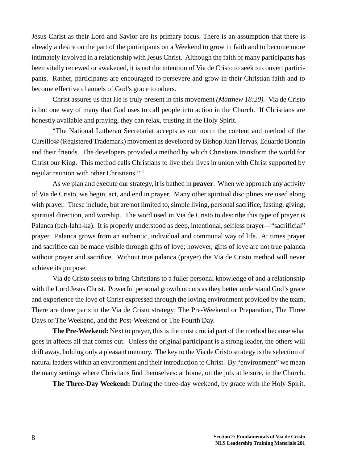Jesus Christ as their Lord and Savior are its primary focus. There is an assumption that there is already a desire on the part of the participants on a Weekend to grow in faith and to become more intimately involved in a relationship with Jesus Christ. Although the faith of many participants has been vitally renewed or awakened, it is not the intention of Via de Cristo to seek to convert participants. Rather, participants are encouraged to persevere and grow in their Christian faith and to become effective channels of God's grace to others.

Christ assures us that He is truly present in this movement *(Matthew 18:20).* Via de Cristo is but one way of many that God uses to call people into action in the Church. If Christians are honestly available and praying, they can relax, trusting in the Holy Spirit.

"The National Lutheran Secretariat accepts as our norm the content and method of the Cursillo® (Registered Trademark) movement as developed by Bishop Juan Hervas, Eduardo Bonnin and their friends. The developers provided a method by which Christians transform the world for Christ our King. This method calls Christians to live their lives in union with Christ supported by regular reunion with other Christians." 4

As we plan and execute our strategy, it is bathed in **prayer**. When we approach any activity of Via de Cristo, we begin, act, and end in prayer. Many other spiritual disciplines are used along with prayer. These include, but are not limited to, simple living, personal sacrifice, fasting, giving, spiritual direction, and worship. The word used in Via de Cristo to describe this type of prayer is Palanca (pah-lahn-ka). It is properly understood as deep, intentional, selfless prayer—"sacrificial" prayer. Palanca grows from an authentic, individual and communal way of life. At times prayer and sacrifice can be made visible through gifts of love; however, gifts of love are not true palanca without prayer and sacrifice. Without true palanca (prayer) the Via de Cristo method will never achieve its purpose.

Via de Cristo seeks to bring Christians to a fuller personal knowledge of and a relationship with the Lord Jesus Christ. Powerful personal growth occurs as they better understand God's grace and experience the love of Christ expressed through the loving environment provided by the team. There are three parts in the Via de Cristo strategy: The Pre-Weekend or Preparation, The Three Days or The Weekend, and the Post-Weekend or The Fourth Day.

**The Pre-Weekend:** Next to prayer, this is the most crucial part of the method because what goes in affects all that comes out. Unless the original participant is a strong leader, the others will drift away, holding only a pleasant memory. The key to the Via de Cristo strategy is the selection of natural leaders within an environment and their introduction to Christ. By "environment" we mean the many settings where Christians find themselves: at home, on the job, at leisure, in the Church.

**The Three-Day Weekend:** During the three-day weekend, by grace with the Holy Spirit,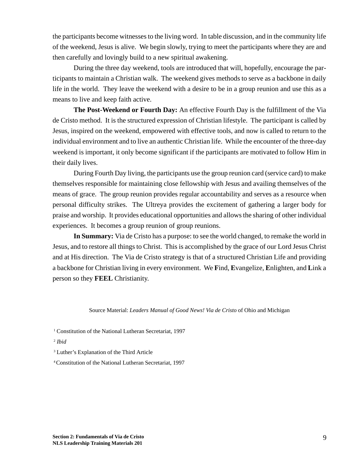the participants become witnesses to the living word. In table discussion, and in the community life of the weekend, Jesus is alive. We begin slowly, trying to meet the participants where they are and then carefully and lovingly build to a new spiritual awakening.

During the three day weekend, tools are introduced that will, hopefully, encourage the participants to maintain a Christian walk. The weekend gives methods to serve as a backbone in daily life in the world. They leave the weekend with a desire to be in a group reunion and use this as a means to live and keep faith active.

**The Post-Weekend or Fourth Day:** An effective Fourth Day is the fulfillment of the Via de Cristo method. It is the structured expression of Christian lifestyle. The participant is called by Jesus, inspired on the weekend, empowered with effective tools, and now is called to return to the individual environment and to live an authentic Christian life. While the encounter of the three-day weekend is important, it only become significant if the participants are motivated to follow Him in their daily lives.

During Fourth Day living, the participants use the group reunion card (service card) to make themselves responsible for maintaining close fellowship with Jesus and availing themselves of the means of grace. The group reunion provides regular accountability and serves as a resource when personal difficulty strikes. The Ultreya provides the excitement of gathering a larger body for praise and worship. It provides educational opportunities and allows the sharing of other individual experiences. It becomes a group reunion of group reunions.

**In Summary:** Via de Cristo has a purpose: to see the world changed, to remake the world in Jesus, and to restore all things to Christ. This is accomplished by the grace of our Lord Jesus Christ and at His direction. The Via de Cristo strategy is that of a structured Christian Life and providing a backbone for Christian living in every environment. We **F**ind, **E**vangelize, **E**nlighten, and **L**ink a person so they **FEEL** Christianity.

#### Source Material: *Leaders Manual of Good News! Via de Cristo* of Ohio and Michigan

<sup>1</sup> Constitution of the National Lutheran Secretariat, 1997

- <sup>2</sup> *Ibid*
- 3 Luther's Explanation of the Third Article

4 Constitution of the National Lutheran Secretariat, 1997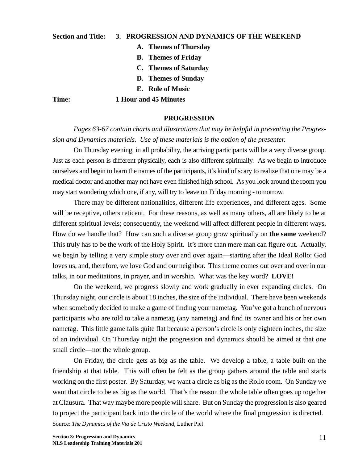#### **Section and Title: 3. PROGRESSION AND DYNAMICS OF THE WEEKEND**

- **A. Themes of Thursday**
- **B. Themes of Friday**
- **C. Themes of Saturday**
- **D. Themes of Sunday**
- **E. Role of Music**

#### **Time: 1 Hour and 45 Minutes**

#### **PROGRESSION**

*Pages 63-67 contain charts and illustrations that may be helpful in presenting the Progression and Dynamics materials. Use of these materials is the option of the presenter.*

On Thursday evening, in all probability, the arriving participants will be a very diverse group. Just as each person is different physically, each is also different spiritually. As we begin to introduce ourselves and begin to learn the names of the participants, it's kind of scary to realize that one may be a medical doctor and another may not have even finished high school. As you look around the room you may start wondering which one, if any, will try to leave on Friday morning - tomorrow.

There may be different nationalities, different life experiences, and different ages. Some will be receptive, others reticent. For these reasons, as well as many others, all are likely to be at different spiritual levels; consequently, the weekend will affect different people in different ways. How do we handle that? How can such a diverse group grow spiritually on **the same** weekend? This truly has to be the work of the Holy Spirit. It's more than mere man can figure out. Actually, we begin by telling a very simple story over and over again—starting after the Ideal Rollo: God loves us, and, therefore, we love God and our neighbor. This theme comes out over and over in our talks, in our meditations, in prayer, and in worship. What was the key word? **LOVE!**

On the weekend, we progress slowly and work gradually in ever expanding circles. On Thursday night, our circle is about 18 inches, the size of the individual. There have been weekends when somebody decided to make a game of finding your nametag. You've got a bunch of nervous participants who are told to take a nametag (any nametag) and find its owner and his or her own nametag. This little game falls quite flat because a person's circle is only eighteen inches, the size of an individual. On Thursday night the progression and dynamics should be aimed at that one small circle—not the whole group.

On Friday, the circle gets as big as the table. We develop a table, a table built on the friendship at that table. This will often be felt as the group gathers around the table and starts working on the first poster. By Saturday, we want a circle as big as the Rollo room. On Sunday we want that circle to be as big as the world. That's the reason the whole table often goes up together at Clausura. That way maybe more people will share. But on Sunday the progression is also geared to project the participant back into the circle of the world where the final progression is directed.

Source: *The Dynamics of the Via de Cristo Weekend,* Luther Piel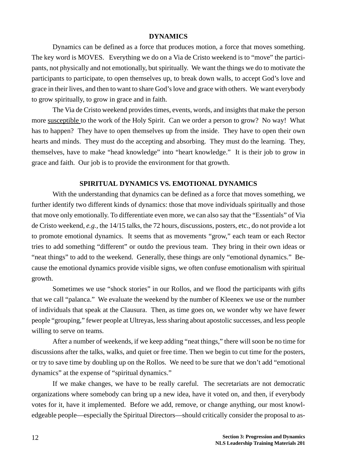#### **DYNAMICS**

Dynamics can be defined as a force that produces motion, a force that moves something. The key word is MOVES. Everything we do on a Via de Cristo weekend is to "move" the participants, not physically and not emotionally, but spiritually. We want the things we do to motivate the participants to participate, to open themselves up, to break down walls, to accept God's love and grace in their lives, and then to want to share God's love and grace with others. We want everybody to grow spiritually, to grow in grace and in faith.

The Via de Cristo weekend provides times, events, words, and insights that make the person more susceptible to the work of the Holy Spirit. Can we order a person to grow? No way! What has to happen? They have to open themselves up from the inside. They have to open their own hearts and minds. They must do the accepting and absorbing. They must do the learning. They, themselves, have to make "head knowledge" into "heart knowledge." It is their job to grow in grace and faith. Our job is to provide the environment for that growth.

#### **SPIRITUAL DYNAMICS VS. EMOTIONAL DYNAMICS**

With the understanding that dynamics can be defined as a force that moves something, we further identify two different kinds of dynamics: those that move individuals spiritually and those that move only emotionally. To differentiate even more, we can also say that the "Essentials" of Via de Cristo weekend, *e.g.,* the 14/15 talks, the 72 hours, discussions, posters, etc., do not provide a lot to promote emotional dynamics. It seems that as movements "grow," each team or each Rector tries to add something "different" or outdo the previous team. They bring in their own ideas or "neat things" to add to the weekend. Generally, these things are only "emotional dynamics." Because the emotional dynamics provide visible signs, we often confuse emotionalism with spiritual growth.

Sometimes we use "shock stories" in our Rollos, and we flood the participants with gifts that we call "palanca." We evaluate the weekend by the number of Kleenex we use or the number of individuals that speak at the Clausura. Then, as time goes on, we wonder why we have fewer people "grouping," fewer people at Ultreyas, less sharing about apostolic successes, and less people willing to serve on teams.

After a number of weekends, if we keep adding "neat things," there will soon be no time for discussions after the talks, walks, and quiet or free time. Then we begin to cut time for the posters, or try to save time by doubling up on the Rollos. We need to be sure that we don't add "emotional dynamics" at the expense of "spiritual dynamics."

If we make changes, we have to be really careful. The secretariats are not democratic organizations where somebody can bring up a new idea, have it voted on, and then, if everybody votes for it, have it implemented. Before we add, remove, or change anything, our most knowledgeable people—especially the Spiritual Directors—should critically consider the proposal to as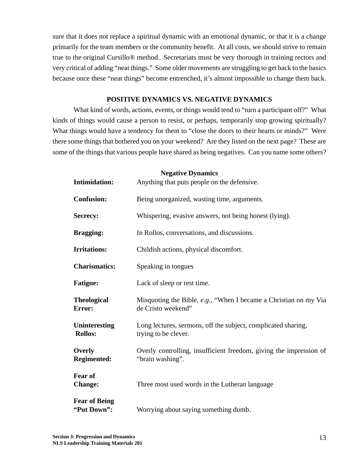sure that it does not replace a spiritual dynamic with an emotional dynamic, or that it is a change primarily for the team members or the community benefit. At all costs, we should strive to remain true to the original Cursillo® method. Secretariats must be very thorough in training rectors and very critical of adding "neat things." Some older movements are struggling to get back to the basics because once these "neat things" become entrenched, it's almost impossible to change them back.

#### **POSITIVE DYNAMICS VS. NEGATIVE DYNAMICS**

What kind of words, actions, events, or things would tend to "turn a participant off?" What kinds of things would cause a person to resist, or perhaps, temporarily stop growing spiritually? What things would have a tendency for them to "close the doors to their hearts or minds?" Were there some things that bothered you on your weekend? Are they listed on the next page? These are some of the things that various people have shared as being negatives. Can you name some others?

**Negative Dynamics**

| <b>Intimidation:</b>                   | $1$ $\alpha$ $\alpha$ $\alpha$ $\alpha$ $\beta$ $\gamma$ $\alpha$ $\alpha$<br>Anything that puts people on the defensive. |
|----------------------------------------|---------------------------------------------------------------------------------------------------------------------------|
| <b>Confusion:</b>                      | Being unorganized, wasting time, arguments.                                                                               |
| <b>Secrecy:</b>                        | Whispering, evasive answers, not being honest (lying).                                                                    |
| <b>Bragging:</b>                       | In Rollos, conversations, and discussions.                                                                                |
| <b>Irritations:</b>                    | Childish actions, physical discomfort.                                                                                    |
| <b>Charismatics:</b>                   | Speaking in tongues                                                                                                       |
| <b>Fatigue:</b>                        | Lack of sleep or rest time.                                                                                               |
| <b>Theological</b><br><b>Error:</b>    | Misquoting the Bible, e.g., "When I became a Christian on my Via<br>de Cristo weekend"                                    |
| <b>Uninteresting</b><br><b>Rollos:</b> | Long lectures, sermons, off the subject, complicated sharing,<br>trying to be clever.                                     |
| Overly<br><b>Regimented:</b>           | Overly controlling, insufficient freedom, giving the impression of<br>"brain washing".                                    |
| <b>Fear of</b><br><b>Change:</b>       | Three most used words in the Lutheran language                                                                            |
| <b>Fear of Being</b><br>"Put Down":    | Worrying about saying something dumb.                                                                                     |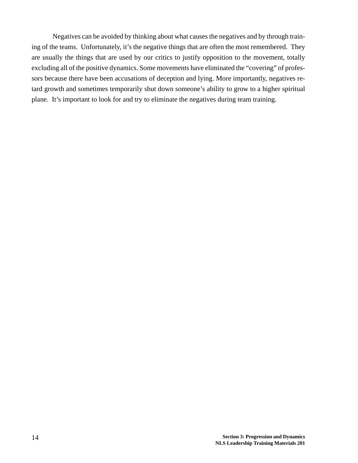Negatives can be avoided by thinking about what causes the negatives and by through training of the teams. Unfortunately, it's the negative things that are often the most remembered. They are usually the things that are used by our critics to justify opposition to the movement, totally excluding all of the positive dynamics. Some movements have eliminated the "covering" of professors because there have been accusations of deception and lying. More importantly, negatives retard growth and sometimes temporarily shut down someone's ability to grow to a higher spiritual plane. It's important to look for and try to eliminate the negatives during team training.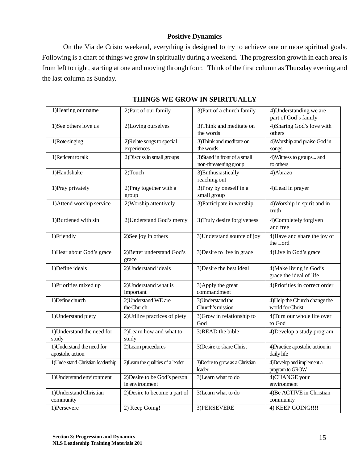### **Positive Dynamics**

On the Via de Cristo weekend, everything is designed to try to achieve one or more spiritual goals. Following is a chart of things we grow in spiritually during a weekend. The progression growth in each area is from left to right, starting at one and moving through four. Think of the first column as Thursday evening and the last column as Sunday.

| 1) Hearing our name                            | 2) Part of our family                          | 3) Part of a church family                            | 4) Understanding we are<br>part of God's family    |
|------------------------------------------------|------------------------------------------------|-------------------------------------------------------|----------------------------------------------------|
| 1)See others love us                           | 2)Loving ourselves                             | 3) Think and meditate on<br>the words                 | 4) Sharing God's love with<br>others               |
| 1) Rote singing                                | 2) Relate songs to special<br>experiences      | 3) Think and meditate on<br>the words                 | 4) Worship and praise God in<br>songs              |
| 1)Reticent to talk                             | 2) Discuss in small groups                     | 3) Stand in front of a small<br>non-threatening group | 4) Witness to groups and<br>to others              |
| 1)Handshake                                    | 2)Touch                                        | 3) Enthusiastically<br>reaching out                   | 4) Abrazo                                          |
| 1) Pray privately                              | 2) Pray together with a<br>group               | 3) Pray by oneself in a<br>small group                | 4) Lead in prayer                                  |
| 1) Attend worship service                      | 2) Worship attentively                         | 3) Participate in worship                             | 4) Worship in spirit and in<br>truth               |
| 1)Burdened with sin                            | 2) Understand God's mercy                      | 3) Truly desire forgiveness                           | 4)Completely forgiven<br>and free                  |
| 1)Friendly                                     | 2) See joy in others                           | 3) Understand source of joy                           | 4) Have and share the joy of<br>the Lord           |
| 1) Hear about God's grace                      | 2) Better understand God's<br>grace            | 3) Desire to live in grace                            | 4) Live in God's grace                             |
| 1) Define ideals                               | 2) Understand ideals                           | 3) Desire the best ideal                              | 4) Make living in God's<br>grace the ideal of life |
| 1) Priorities mixed up                         | 2) Understand what is<br>important             | 3) Apply the great<br>commandment                     | 4) Priorities in correct order                     |
| 1) Define church                               | 2) Understand WE are<br>the Church             | 3) Understand the<br>Church's mission                 | 4) Help the Church change the<br>world for Christ  |
| 1) Understand piety                            | 2) Utilize practices of piety                  | 3) Grow in relationship to<br>God                     | 4) Turn our whole life over<br>to God              |
| 1) Understand the need for<br>study            | 2)Learn how and what to<br>study               | 3)READ the bible                                      | 4) Develop a study program                         |
| 1) Understand the need for<br>apostolic action | 2)Learn procedures                             | 3) Desire to share Christ                             | 4) Practice apostolic action in<br>daily life      |
| 1) Understand Christian leadership             | 2) Learn the qualities of a leader             | 3) Desire to grow as a Christian<br>leader            | 4) Develop and implement a<br>program to GROW      |
| 1) Understand environment                      | 2) Desire to be God's person<br>in environment | 3) Learn what to do                                   | 4)CHANGE your<br>environment                       |
| 1) Understand Christian<br>community           | 2) Desire to become a part of                  | 3) Learn what to do                                   | 4) Be ACTIVE in Christian<br>community             |
| 1)Persevere                                    | $\overline{2}$ Keep Going!                     | 3) PERSEVERE                                          | 4) KEEP GOING!!!!                                  |

### **THINGS WE GROW IN SPIRITUALLY**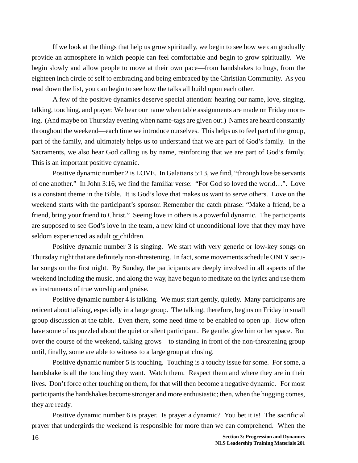If we look at the things that help us grow spiritually, we begin to see how we can gradually provide an atmosphere in which people can feel comfortable and begin to grow spiritually. We begin slowly and allow people to move at their own pace—from handshakes to hugs, from the eighteen inch circle of self to embracing and being embraced by the Christian Community. As you read down the list, you can begin to see how the talks all build upon each other.

A few of the positive dynamics deserve special attention: hearing our name, love, singing, talking, touching, and prayer. We hear our name when table assignments are made on Friday morning. (And maybe on Thursday evening when name-tags are given out.) Names are heard constantly throughout the weekend—each time we introduce ourselves. This helps us to feel part of the group, part of the family, and ultimately helps us to understand that we are part of God's family. In the Sacraments, we also hear God calling us by name, reinforcing that we are part of God's family. This is an important positive dynamic.

Positive dynamic number 2 is LOVE. In Galatians 5:13, we find, "through love be servants of one another." In John 3:16, we find the familiar verse: "For God so loved the world…". Love is a constant theme in the Bible. It is God's love that makes us want to serve others. Love on the weekend starts with the participant's sponsor. Remember the catch phrase: "Make a friend, be a friend, bring your friend to Christ." Seeing love in others is a powerful dynamic. The participants are supposed to see God's love in the team, a new kind of unconditional love that they may have seldom experienced as adult or children.

Positive dynamic number 3 is singing. We start with very generic or low-key songs on Thursday night that are definitely non-threatening. In fact, some movements schedule ONLY secular songs on the first night. By Sunday, the participants are deeply involved in all aspects of the weekend including the music, and along the way, have begun to meditate on the lyrics and use them as instruments of true worship and praise.

Positive dynamic number 4 is talking. We must start gently, quietly. Many participants are reticent about talking, especially in a large group. The talking, therefore, begins on Friday in small group discussion at the table. Even there, some need time to be enabled to open up. How often have some of us puzzled about the quiet or silent participant. Be gentle, give him or her space. But over the course of the weekend, talking grows—to standing in front of the non-threatening group until, finally, some are able to witness to a large group at closing.

Positive dynamic number 5 is touching. Touching is a touchy issue for some. For some, a handshake is all the touching they want. Watch them. Respect them and where they are in their lives. Don't force other touching on them, for that will then become a negative dynamic. For most participants the handshakes become stronger and more enthusiastic; then, when the hugging comes, they are ready.

Positive dynamic number 6 is prayer. Is prayer a dynamic? You bet it is! The sacrificial prayer that undergirds the weekend is responsible for more than we can comprehend. When the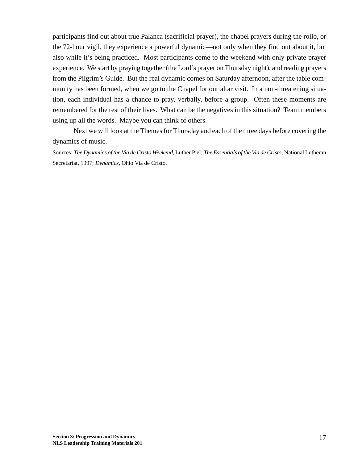participants find out about true Palanca (sacrificial prayer), the chapel prayers during the rollo, or the 72-hour vigil, they experience a powerful dynamic—not only when they find out about it, but also while it's being practiced. Most participants come to the weekend with only private prayer experience. We start by praying together (the Lord's prayer on Thursday night), and reading prayers from the Pilgrim's Guide. But the real dynamic comes on Saturday afternoon, after the table community has been formed, when we go to the Chapel for our altar visit. In a non-threatening situation, each individual has a chance to pray, verbally, before a group. Often these moments are remembered for the rest of their lives. What can be the negatives in this situation? Team members using up all the words. Maybe you can think of others.

Next we will look at the Themes for Thursday and each of the three days before covering the dynamics of music.

Sources: *The Dynamics of the Via de Cristo Weekend,* Luther Piel; *The Essentials of the Via de Cristo,* National Lutheran Secretariat, 1997; *Dynamics,* Ohio Via de Cristo.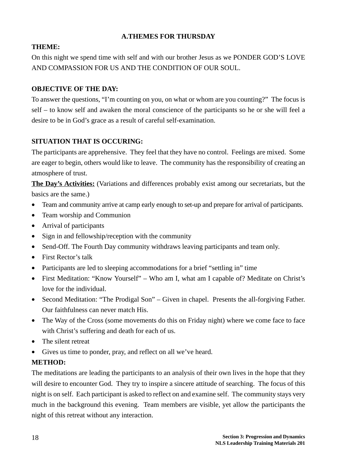### **A.THEMES FOR THURSDAY**

### **THEME:**

On this night we spend time with self and with our brother Jesus as we PONDER GOD'S LOVE AND COMPASSION FOR US AND THE CONDITION OF OUR SOUL.

### **OBJECTIVE OF THE DAY:**

To answer the questions, "I'm counting on you, on what or whom are you counting?" The focus is self – to know self and awaken the moral conscience of the participants so he or she will feel a desire to be in God's grace as a result of careful self-examination.

### **SITUATION THAT IS OCCURING:**

The participants are apprehensive. They feel that they have no control. Feelings are mixed. Some are eager to begin, others would like to leave. The community has the responsibility of creating an atmosphere of trust.

**The Day's Activities:** (Variations and differences probably exist among our secretariats, but the basics are the same.)

- Team and community arrive at camp early enough to set-up and prepare for arrival of participants.
- Team worship and Communion
- Arrival of participants
- Sign in and fellowship/reception with the community
- Send-Off. The Fourth Day community withdraws leaving participants and team only.
- First Rector's talk
- Participants are led to sleeping accommodations for a brief "settling in" time
- First Meditation: "Know Yourself" Who am I, what am I capable of? Meditate on Christ's love for the individual.
- Second Meditation: "The Prodigal Son" Given in chapel. Presents the all-forgiving Father. Our faithfulness can never match His.
- The Way of the Cross (some movements do this on Friday night) where we come face to face with Christ's suffering and death for each of us.
- The silent retreat
- Gives us time to ponder, pray, and reflect on all we've heard.

### **METHOD:**

The meditations are leading the participants to an analysis of their own lives in the hope that they will desire to encounter God. They try to inspire a sincere attitude of searching. The focus of this night is on self. Each participant is asked to reflect on and examine self. The community stays very much in the background this evening. Team members are visible, yet allow the participants the night of this retreat without any interaction.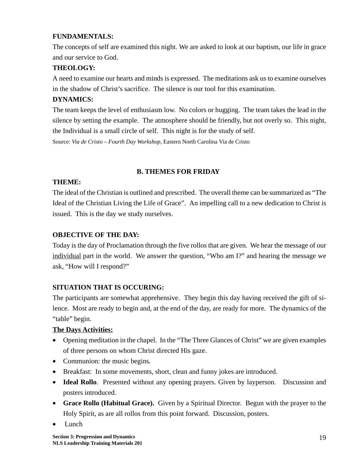### **FUNDAMENTALS:**

The concepts of self are examined this night. We are asked to look at our baptism, our life in grace and our service to God.

### **THEOLOGY:**

A need to examine our hearts and minds is expressed. The meditations ask us to examine ourselves in the shadow of Christ's sacrifice. The silence is our tool for this examination.

### **DYNAMICS:**

The team keeps the level of enthusiasm low. No colors or hugging. The team takes the lead in the silence by setting the example. The atmosphere should be friendly, but not overly so. This night, the Individual is a small circle of self. This night is for the study of self.

Source: *Via de Cristo – Fourth Day Workshop,* Eastern North Carolina Via de Cristo

### **B. THEMES FOR FRIDAY**

### **THEME:**

The ideal of the Christian is outlined and prescribed. The overall theme can be summarized as "The Ideal of the Christian Living the Life of Grace". An impelling call to a new dedication to Christ is issued. This is the day we study ourselves.

### **OBJECTIVE OF THE DAY:**

Today is the day of Proclamation through the five rollos that are given. We hear the message of our individual part in the world. We answer the question, "Who am I?" and hearing the message we ask, "How will I respond?"

### **SITUATION THAT IS OCCURING:**

The participants are somewhat apprehensive. They begin this day having received the gift of silence. Most are ready to begin and, at the end of the day, are ready for more. The dynamics of the "table" begin.

### **The Days Activities:**

- Opening meditation in the chapel. In the "The Three Glances of Christ" we are given examples of three persons on whom Christ directed His gaze.
- Communion: the music begins.
- Breakfast: In some movements, short, clean and funny jokes are introduced.
- **Ideal Rollo**. Presented without any opening prayers. Given by layperson. Discussion and posters introduced.
- **Grace Rollo (Habitual Grace).** Given by a Spiritual Director. Begun with the prayer to the Holy Spirit, as are all rollos from this point forward. Discussion, posters.
- Lunch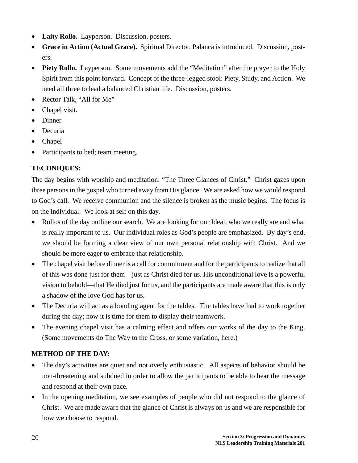- **Laity Rollo.** Layperson. Discussion, posters.
- **Grace in Action (Actual Grace).** Spiritual Director. Palanca is introduced. Discussion, posters.
- **Piety Rollo.** Layperson. Some movements add the "Meditation" after the prayer to the Holy Spirit from this point forward. Concept of the three-legged stool: Piety, Study, and Action. We need all three to lead a balanced Christian life. Discussion, posters.
- Rector Talk, "All for Me"
- Chapel visit.
- Dinner
- Decuria
- Chapel
- Participants to bed; team meeting.

### **TECHNIQUES:**

The day begins with worship and meditation: "The Three Glances of Christ." Christ gazes upon three persons in the gospel who turned away from His glance. We are asked how we would respond to God's call. We receive communion and the silence is broken as the music begins. The focus is on the individual. We look at self on this day.

- Rollos of the day outline our search. We are looking for our Ideal, who we really are and what is really important to us. Our individual roles as God's people are emphasized. By day's end, we should be forming a clear view of our own personal relationship with Christ. And we should be more eager to embrace that relationship.
- The chapel visit before dinner is a call for commitment and for the participants to realize that all of this was done just for them—just as Christ died for us. His unconditional love is a powerful vision to behold—that He died just for us, and the participants are made aware that this is only a shadow of the love God has for us.
- The Decuria will act as a bonding agent for the tables. The tables have had to work together during the day; now it is time for them to display their teamwork.
- The evening chapel visit has a calming effect and offers our works of the day to the King. (Some movements do The Way to the Cross, or some variation, here.)

### **METHOD OF THE DAY:**

- The day's activities are quiet and not overly enthusiastic. All aspects of behavior should be non-threatening and subdued in order to allow the participants to be able to hear the message and respond at their own pace.
- In the opening meditation, we see examples of people who did not respond to the glance of Christ. We are made aware that the glance of Christ is always on us and we are responsible for how we choose to respond.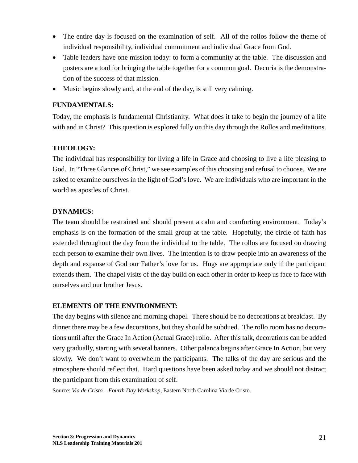- The entire day is focused on the examination of self. All of the rollos follow the theme of individual responsibility, individual commitment and individual Grace from God.
- Table leaders have one mission today: to form a community at the table. The discussion and posters are a tool for bringing the table together for a common goal. Decuria is the demonstration of the success of that mission.
- Music begins slowly and, at the end of the day, is still very calming.

### **FUNDAMENTALS:**

Today, the emphasis is fundamental Christianity. What does it take to begin the journey of a life with and in Christ? This question is explored fully on this day through the Rollos and meditations.

### **THEOLOGY:**

The individual has responsibility for living a life in Grace and choosing to live a life pleasing to God. In "Three Glances of Christ," we see examples of this choosing and refusal to choose. We are asked to examine ourselves in the light of God's love. We are individuals who are important in the world as apostles of Christ.

### **DYNAMICS:**

The team should be restrained and should present a calm and comforting environment. Today's emphasis is on the formation of the small group at the table. Hopefully, the circle of faith has extended throughout the day from the individual to the table. The rollos are focused on drawing each person to examine their own lives. The intention is to draw people into an awareness of the depth and expanse of God our Father's love for us. Hugs are appropriate only if the participant extends them. The chapel visits of the day build on each other in order to keep us face to face with ourselves and our brother Jesus.

### **ELEMENTS OF THE ENVIRONMENT:**

The day begins with silence and morning chapel. There should be no decorations at breakfast. By dinner there may be a few decorations, but they should be subdued. The rollo room has no decorations until after the Grace In Action (Actual Grace) rollo. After this talk, decorations can be added very gradually, starting with several banners. Other palanca begins after Grace In Action, but very slowly. We don't want to overwhelm the participants. The talks of the day are serious and the atmosphere should reflect that. Hard questions have been asked today and we should not distract the participant from this examination of self.

Source: *Via de Cristo – Fourth Day Workshop,* Eastern North Carolina Via de Cristo.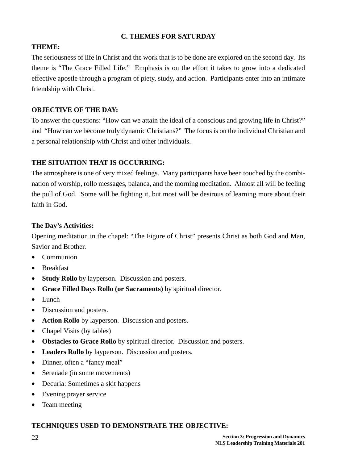### **C. THEMES FOR SATURDAY**

### **THEME:**

The seriousness of life in Christ and the work that is to be done are explored on the second day. Its theme is "The Grace Filled Life." Emphasis is on the effort it takes to grow into a dedicated effective apostle through a program of piety, study, and action. Participants enter into an intimate friendship with Christ.

### **OBJECTIVE OF THE DAY:**

To answer the questions: "How can we attain the ideal of a conscious and growing life in Christ?" and "How can we become truly dynamic Christians?" The focus is on the individual Christian and a personal relationship with Christ and other individuals.

### **THE SITUATION THAT IS OCCURRING:**

The atmosphere is one of very mixed feelings. Many participants have been touched by the combination of worship, rollo messages, palanca, and the morning meditation. Almost all will be feeling the pull of God. Some will be fighting it, but most will be desirous of learning more about their faith in God.

### **The Day's Activities:**

Opening meditation in the chapel: "The Figure of Christ" presents Christ as both God and Man, Savior and Brother.

- Communion
- Breakfast
- **Study Rollo** by layperson. Discussion and posters.
- **Grace Filled Days Rollo (or Sacraments)** by spiritual director.
- Lunch
- Discussion and posters.
- **Action Rollo** by layperson. Discussion and posters.
- Chapel Visits (by tables)
- **Obstacles to Grace Rollo** by spiritual director. Discussion and posters.
- **Leaders Rollo** by layperson. Discussion and posters.
- Dinner, often a "fancy meal"
- Serenade (in some movements)
- Decuria: Sometimes a skit happens
- Evening prayer service
- Team meeting

#### **TECHNIQUES USED TO DEMONSTRATE THE OBJECTIVE:**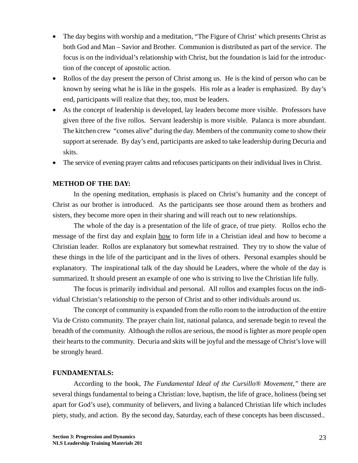- The day begins with worship and a meditation, "The Figure of Christ' which presents Christ as both God and Man – Savior and Brother. Communion is distributed as part of the service. The focus is on the individual's relationship with Christ, but the foundation is laid for the introduction of the concept of apostolic action.
- Rollos of the day present the person of Christ among us. He is the kind of person who can be known by seeing what he is like in the gospels. His role as a leader is emphasized. By day's end, participants will realize that they, too, must be leaders.
- As the concept of leadership is developed, lay leaders become more visible. Professors have given three of the five rollos. Servant leadership is more visible. Palanca is more abundant. The kitchen crew "comes alive" during the day. Members of the community come to show their support at serenade. By day's end, participants are asked to take leadership during Decuria and skits.
- The service of evening prayer calms and refocuses participants on their individual lives in Christ.

### **METHOD OF THE DAY:**

In the opening meditation, emphasis is placed on Christ's humanity and the concept of Christ as our brother is introduced. As the participants see those around them as brothers and sisters, they become more open in their sharing and will reach out to new relationships.

The whole of the day is a presentation of the life of grace, of true piety. Rollos echo the message of the first day and explain how to form life in a Christian ideal and how to become a Christian leader. Rollos are explanatory but somewhat restrained. They try to show the value of these things in the life of the participant and in the lives of others. Personal examples should be explanatory. The inspirational talk of the day should be Leaders, where the whole of the day is summarized. It should present an example of one who is striving to live the Christian life fully.

The focus is primarily individual and personal. All rollos and examples focus on the individual Christian's relationship to the person of Christ and to other individuals around us.

The concept of community is expanded from the rollo room to the introduction of the entire Via de Cristo community. The prayer chain list, national palanca, and serenade begin to reveal the breadth of the community. Although the rollos are serious, the mood is lighter as more people open their hearts to the community. Decuria and skits will be joyful and the message of Christ's love will be strongly heard.

#### **FUNDAMENTALS:**

According to the book, *The Fundamental Ideal of the Cursillo® Movement,"* there are several things fundamental to being a Christian: love, baptism, the life of grace, holiness (being set apart for God's use), community of believers, and living a balanced Christian life which includes piety, study, and action. By the second day, Saturday, each of these concepts has been discussed..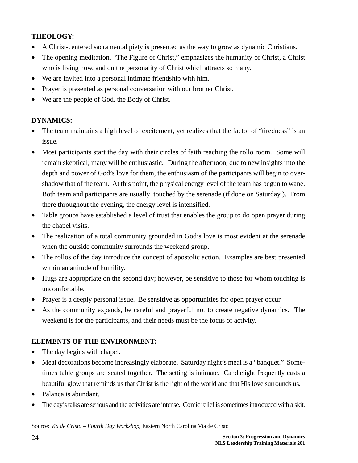### **THEOLOGY:**

- A Christ-centered sacramental piety is presented as the way to grow as dynamic Christians.
- The opening meditation, "The Figure of Christ," emphasizes the humanity of Christ, a Christ who is living now, and on the personality of Christ which attracts so many.
- We are invited into a personal intimate friendship with him.
- Prayer is presented as personal conversation with our brother Christ.
- We are the people of God, the Body of Christ.

### **DYNAMICS:**

- The team maintains a high level of excitement, yet realizes that the factor of "tiredness" is an issue.
- Most participants start the day with their circles of faith reaching the rollo room. Some will remain skeptical; many will be enthusiastic. During the afternoon, due to new insights into the depth and power of God's love for them, the enthusiasm of the participants will begin to overshadow that of the team. At this point, the physical energy level of the team has begun to wane. Both team and participants are usually touched by the serenade (if done on Saturday ). From there throughout the evening, the energy level is intensified.
- Table groups have established a level of trust that enables the group to do open prayer during the chapel visits.
- The realization of a total community grounded in God's love is most evident at the serenade when the outside community surrounds the weekend group.
- The rollos of the day introduce the concept of apostolic action. Examples are best presented within an attitude of humility.
- Hugs are appropriate on the second day; however, be sensitive to those for whom touching is uncomfortable.
- Prayer is a deeply personal issue. Be sensitive as opportunities for open prayer occur.
- As the community expands, be careful and prayerful not to create negative dynamics. The weekend is for the participants, and their needs must be the focus of activity.

### **ELEMENTS OF THE ENVIRONMENT:**

- The day begins with chapel.
- Meal decorations become increasingly elaborate. Saturday night's meal is a "banquet." Sometimes table groups are seated together. The setting is intimate. Candlelight frequently casts a beautiful glow that reminds us that Christ is the light of the world and that His love surrounds us.
- Palanca is abundant.
- The day's talks are serious and the activities are intense. Comic relief is sometimes introduced with a skit.

Source: *Via de Cristo – Fourth Day Workshop,* Eastern North Carolina Via de Cristo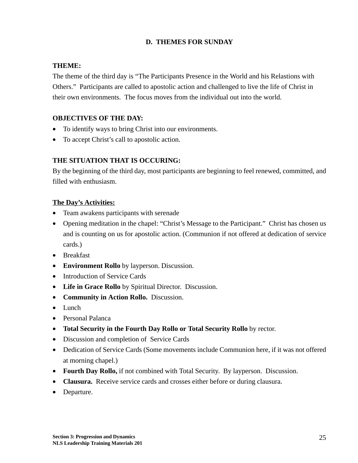### **D. THEMES FOR SUNDAY**

### **THEME:**

The theme of the third day is "The Participants Presence in the World and his Relastions with Others." Participants are called to apostolic action and challenged to live the life of Christ in their own environments. The focus moves from the individual out into the world.

### **OBJECTIVES OF THE DAY:**

- To identify ways to bring Christ into our environments.
- To accept Christ's call to apostolic action.

### **THE SITUATION THAT IS OCCURING:**

By the beginning of the third day, most participants are beginning to feel renewed, committed, and filled with enthusiasm.

### **The Day's Activities:**

- Team awakens participants with serenade
- Opening meditation in the chapel: "Christ's Message to the Participant." Christ has chosen us and is counting on us for apostolic action. (Communion if not offered at dedication of service cards.)
- Breakfast
- **Environment Rollo** by layperson. Discussion.
- Introduction of Service Cards
- **Life in Grace Rollo** by Spiritual Director. Discussion.
- **Community in Action Rollo.** Discussion.
- Lunch
- Personal Palanca
- **Total Security in the Fourth Day Rollo or Total Security Rollo** by rector.
- Discussion and completion of Service Cards
- Dedication of Service Cards (Some movements include Communion here, if it was not offered at morning chapel.)
- **Fourth Day Rollo,** if not combined with Total Security. By layperson. Discussion.
- **Clausura.** Receive service cards and crosses either before or during clausura.
- Departure.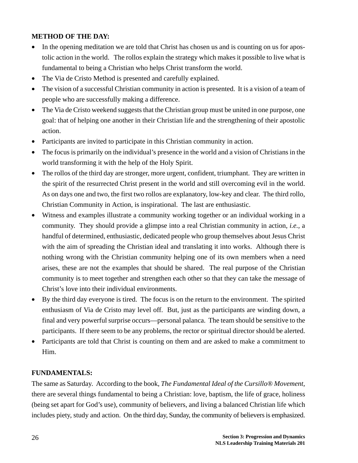### **METHOD OF THE DAY:**

- In the opening meditation we are told that Christ has chosen us and is counting on us for apostolic action in the world. The rollos explain the strategy which makes it possible to live what is fundamental to being a Christian who helps Christ transform the world.
- The Via de Cristo Method is presented and carefully explained.
- The vision of a successful Christian community in action is presented. It is a vision of a team of people who are successfully making a difference.
- The Via de Cristo weekend suggests that the Christian group must be united in one purpose, one goal: that of helping one another in their Christian life and the strengthening of their apostolic action.
- Participants are invited to participate in this Christian community in action.
- The focus is primarily on the individual's presence in the world and a vision of Christians in the world transforming it with the help of the Holy Spirit.
- The rollos of the third day are stronger, more urgent, confident, triumphant. They are written in the spirit of the resurrected Christ present in the world and still overcoming evil in the world. As on days one and two, the first two rollos are explanatory, low-key and clear. The third rollo, Christian Community in Action, is inspirational. The last are enthusiastic.
- Witness and examples illustrate a community working together or an individual working in a community. They should provide a glimpse into a real Christian community in action, *i.e.,* a handful of determined, enthusiastic, dedicated people who group themselves about Jesus Christ with the aim of spreading the Christian ideal and translating it into works. Although there is nothing wrong with the Christian community helping one of its own members when a need arises, these are not the examples that should be shared. The real purpose of the Christian community is to meet together and strengthen each other so that they can take the message of Christ's love into their individual environments.
- By the third day everyone is tired. The focus is on the return to the environment. The spirited enthusiasm of Via de Cristo may level off. But, just as the participants are winding down, a final and very powerful surprise occurs—personal palanca. The team should be sensitive to the participants. If there seem to be any problems, the rector or spiritual director should be alerted.
- Participants are told that Christ is counting on them and are asked to make a commitment to Him.

### **FUNDAMENTALS:**

The same as Saturday. According to the book, *The Fundamental Ideal of the Cursillo® Movement,* there are several things fundamental to being a Christian: love, baptism, the life of grace, holiness (being set apart for God's use), community of believers, and living a balanced Christian life which includes piety, study and action. On the third day, Sunday, the community of believers is emphasized.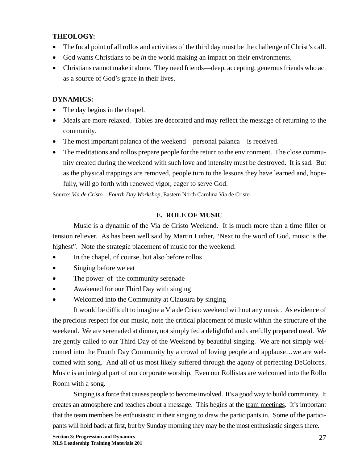### **THEOLOGY:**

- The focal point of all rollos and activities of the third day must be the challenge of Christ's call.
- God wants Christians to be *in* the world making an impact on their environments.
- Christians cannot make it alone. They need friends—deep, accepting, generous friends who act as a source of God's grace in their lives.

### **DYNAMICS:**

- The day begins in the chapel.
- Meals are more relaxed. Tables are decorated and may reflect the message of returning to the community.
- The most important palanca of the weekend—personal palanca—is received.
- The meditations and rollos prepare people for the return to the environment. The close community created during the weekend with such love and intensity must be destroyed. It is sad. But as the physical trappings are removed, people turn to the lessons they have learned and, hopefully, will go forth with renewed vigor, eager to serve God.

Source: *Via de Cristo – Fourth Day Workshop,* Eastern North Carolina Via de Cristo

### **E. ROLE OF MUSIC**

Music is a dynamic of the Via de Cristo Weekend. It is much more than a time filler or tension reliever. As has been well said by Martin Luther, "Next to the word of God, music is the highest". Note the strategic placement of music for the weekend:

- In the chapel, of course, but also before rollos
- Singing before we eat
- The power of the community serenade
- Awakened for our Third Day with singing
- Welcomed into the Community at Clausura by singing

It would be difficult to imagine a Via de Cristo weekend without any music. As evidence of the precious respect for our music, note the critical placement of music within the structure of the weekend. We are serenaded at dinner, not simply fed a delightful and carefully prepared meal. We are gently called to our Third Day of the Weekend by beautiful singing. We are not simply welcomed into the Fourth Day Community by a crowd of loving people and applause…we are welcomed with song. And all of us most likely suffered through the agony of perfecting DeColores. Music is an integral part of our corporate worship. Even our Rollistas are welcomed into the Rollo Room with a song.

Singing is a force that causes people to become involved. It's a good way to build community. It creates an atmosphere and teaches about a message. This begins at the team meetings. It's important that the team members be enthusiastic in their singing to draw the participants in. Some of the participants will hold back at first, but by Sunday morning they may be the most enthusiastic singers there.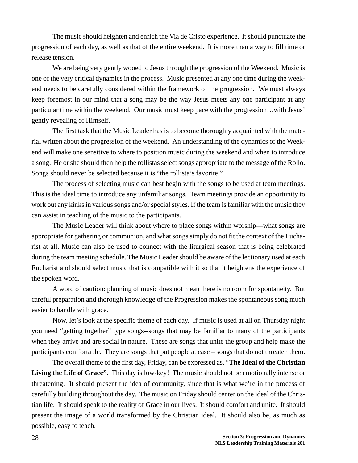The music should heighten and enrich the Via de Cristo experience. It should punctuate the progression of each day, as well as that of the entire weekend. It is more than a way to fill time or release tension.

We are being very gently wooed to Jesus through the progression of the Weekend. Music is one of the very critical dynamics in the process. Music presented at any one time during the weekend needs to be carefully considered within the framework of the progression. We must always keep foremost in our mind that a song may be the way Jesus meets any one participant at any particular time within the weekend. Our music must keep pace with the progression…with Jesus' gently revealing of Himself.

The first task that the Music Leader has is to become thoroughly acquainted with the material written about the progression of the weekend. An understanding of the dynamics of the Weekend will make one sensitive to where to position music during the weekend and when to introduce a song. He or she should then help the rollistas select songs appropriate to the message of the Rollo. Songs should never be selected because it is "the rollista's favorite."

The process of selecting music can best begin with the songs to be used at team meetings. This is the ideal time to introduce any unfamiliar songs. Team meetings provide an opportunity to work out any kinks in various songs and/or special styles. If the team is familiar with the music they can assist in teaching of the music to the participants.

The Music Leader will think about where to place songs within worship—what songs are appropriate for gathering or communion, and what songs simply do not fit the context of the Eucharist at all. Music can also be used to connect with the liturgical season that is being celebrated during the team meeting schedule. The Music Leader should be aware of the lectionary used at each Eucharist and should select music that is compatible with it so that it heightens the experience of the spoken word.

A word of caution: planning of music does not mean there is no room for spontaneity. But careful preparation and thorough knowledge of the Progression makes the spontaneous song much easier to handle with grace.

Now, let's look at the specific theme of each day. If music is used at all on Thursday night you need "getting together" type songs--songs that may be familiar to many of the participants when they arrive and are social in nature. These are songs that unite the group and help make the participants comfortable. They are songs that put people at ease – songs that do not threaten them.

The overall theme of the first day, Friday, can be expressed as, "**The Ideal of the Christian** Living the Life of Grace". This day is <u>low-key</u>! The music should not be emotionally intense or threatening. It should present the idea of community, since that is what we're in the process of carefully building throughout the day. The music on Friday should center on the ideal of the Christian life. It should speak to the reality of Grace in our lives. It should comfort and unite. It should present the image of a world transformed by the Christian ideal. It should also be, as much as possible, easy to teach.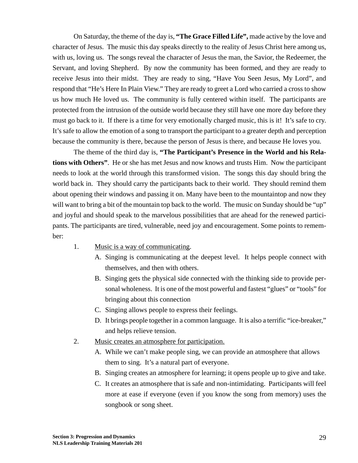On Saturday, the theme of the day is, **"The Grace Filled Life",** made active by the love and character of Jesus. The music this day speaks directly to the reality of Jesus Christ here among us, with us, loving us. The songs reveal the character of Jesus the man, the Savior, the Redeemer, the Servant, and loving Shepherd. By now the community has been formed, and they are ready to receive Jesus into their midst. They are ready to sing, "Have You Seen Jesus, My Lord", and respond that "He's Here In Plain View." They are ready to greet a Lord who carried a cross to show us how much He loved us. The community is fully centered within itself. The participants are protected from the intrusion of the outside world because they still have one more day before they must go back to it. If there is a time for very emotionally charged music, this is it! It's safe to cry. It's safe to allow the emotion of a song to transport the participant to a greater depth and perception because the community is there, because the person of Jesus is there, and because He loves you.

The theme of the third day is, **"The Participant's Presence in the World and his Relations with Others"**. He or she has met Jesus and now knows and trusts Him. Now the participant needs to look at the world through this transformed vision. The songs this day should bring the world back in. They should carry the participants back to their world. They should remind them about opening their windows and passing it on. Many have been to the mountaintop and now they will want to bring a bit of the mountain top back to the world. The music on Sunday should be "up" and joyful and should speak to the marvelous possibilities that are ahead for the renewed participants. The participants are tired, vulnerable, need joy and encouragement. Some points to remember:

- 1. Music is a way of communicating.
	- A. Singing is communicating at the deepest level. It helps people connect with themselves, and then with others.
	- B. Singing gets the physical side connected with the thinking side to provide personal wholeness. It is one of the most powerful and fastest "glues" or "tools" for bringing about this connection
	- C. Singing allows people to express their feelings.
	- D. It brings people together in a common language. It is also a terrific "ice-breaker," and helps relieve tension.
- 2. Music creates an atmosphere for participation.
	- A. While we can't make people sing, we can provide an atmosphere that allows them to sing. It's a natural part of everyone.
	- B. Singing creates an atmosphere for learning; it opens people up to give and take.
	- C. It creates an atmosphere that is safe and non-intimidating. Participants will feel more at ease if everyone (even if you know the song from memory) uses the songbook or song sheet.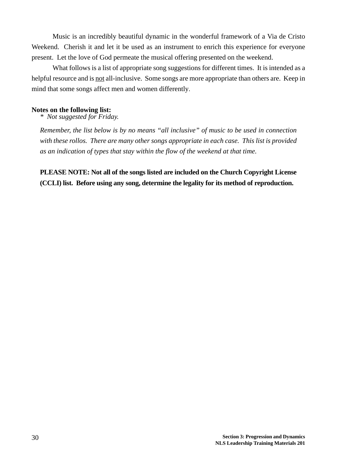Music is an incredibly beautiful dynamic in the wonderful framework of a Via de Cristo Weekend. Cherish it and let it be used as an instrument to enrich this experience for everyone present. Let the love of God permeate the musical offering presented on the weekend.

What follows is a list of appropriate song suggestions for different times. It is intended as a helpful resource and is not all-inclusive. Some songs are more appropriate than others are. Keep in mind that some songs affect men and women differently.

#### **Notes on the following list:**

*\* Not suggested for Friday.*

*Remember, the list below is by no means "all inclusive" of music to be used in connection with these rollos. There are many other songs appropriate in each case. This list is provided as an indication of types that stay within the flow of the weekend at that time.*

**PLEASE NOTE: Not all of the songs listed are included on the Church Copyright License (CCLI) list. Before using any song, determine the legality for its method of reproduction.**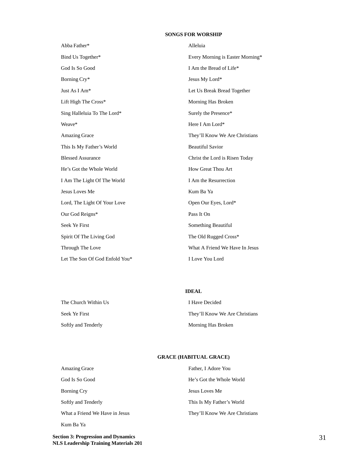#### **SONGS FOR WORSHIP**

| Abba Father*                   | Alleluia                         |
|--------------------------------|----------------------------------|
| Bind Us Together*              | Every Morning is Easter Morning* |
| God Is So Good                 | I Am the Bread of Life*          |
| Borning Cry*                   | Jesus My Lord*                   |
| Just As I Am*                  | Let Us Break Bread Together      |
| Lift High The Cross*           | Morning Has Broken               |
| Sing Halleluia To The Lord*    | Surely the Presence*             |
| Weave*                         | Here I Am Lord*                  |
| <b>Amazing Grace</b>           | They'll Know We Are Christians   |
| This Is My Father's World      | <b>Beautiful Savior</b>          |
| <b>Blessed Assurance</b>       | Christ the Lord is Risen Today   |
| He's Got the Whole World       | How Great Thou Art               |
| I Am The Light Of The World    | I Am the Resurrection            |
| Jesus Loves Me                 | Kum Ba Ya                        |
| Lord, The Light Of Your Love   | Open Our Eyes, Lord*             |
| Our God Reigns*                | Pass It On                       |
| Seek Ye First                  | Something Beautiful              |
| Spirit Of The Living God       | The Old Rugged Cross*            |
| Through The Love               | What A Friend We Have In Jesus   |
| Let The Son Of God Enfold You* | I Love You Lord                  |

**IDEAL** The Church Within Us **I Have Decided** Seek Ye First They'll Know We Are Christians Softly and Tenderly Morning Has Broken

#### **GRACE (HABITUAL GRACE)**

| Amazing Grace                  | Father, I Adore You            |
|--------------------------------|--------------------------------|
| God Is So Good                 | He's Got the Whole World       |
| Borning Cry                    | Jesus Loves Me                 |
| Softly and Tenderly            | This Is My Father's World      |
| What a Friend We Have in Jesus | They'll Know We Are Christians |
|                                |                                |

**Section 3: Progression and Dynamics** 31 **NLS Leadership Training Materials 201**

Kum Ba Ya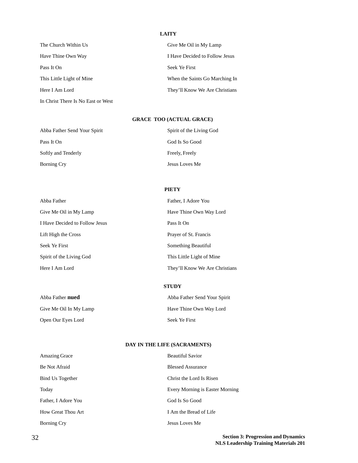#### **LAITY**

| The Church Within Us               | Give Me Oil in My Lamp         |
|------------------------------------|--------------------------------|
| Have Thine Own Way                 | I Have Decided to Follow Jesus |
| Pass It On                         | Seek Ye First                  |
| This Little Light of Mine          | When the Saints Go Marching In |
| Here I Am Lord                     | They'll Know We Are Christians |
| In Christ There Is No East or West |                                |

#### **GRACE TOO (ACTUAL GRACE)**

| Abba Father Send Your Spirit | Spirit of the Living God |
|------------------------------|--------------------------|
| Pass It On                   | God Is So Good           |
| Softly and Tenderly          | Freely, Freely           |
| Borning Cry                  | Jesus Loves Me           |

#### **PIETY**

| Abba Father                    | Father, I Adore You            |
|--------------------------------|--------------------------------|
| Give Me Oil in My Lamp         | Have Thine Own Way Lord        |
| I Have Decided to Follow Jesus | Pass It On                     |
| Lift High the Cross            | Prayer of St. Francis          |
| Seek Ye First                  | Something Beautiful            |
| Spirit of the Living God       | This Little Light of Mine      |
| Here I Am Lord                 | They'll Know We Are Christians |

#### **STUDY**

| Abba Father <b>nued</b> | Abba Father Send Your Spirit |
|-------------------------|------------------------------|
| Give Me Oil In My Lamp  | Have Thine Own Way Lord      |
| Open Our Eyes Lord      | Seek Ye First                |

#### **DAY IN THE LIFE (SACRAMENTS)**

| <b>Amazing Grace</b> | <b>Beautiful Savior</b>         |
|----------------------|---------------------------------|
| Be Not Afraid        | <b>Blessed Assurance</b>        |
| Bind Us Together     | Christ the Lord Is Risen        |
| Today                | Every Morning is Easter Morning |
| Father, I Adore You  | God Is So Good                  |
| How Great Thou Art   | I Am the Bread of Life          |
| <b>Borning Cry</b>   | Jesus Loves Me                  |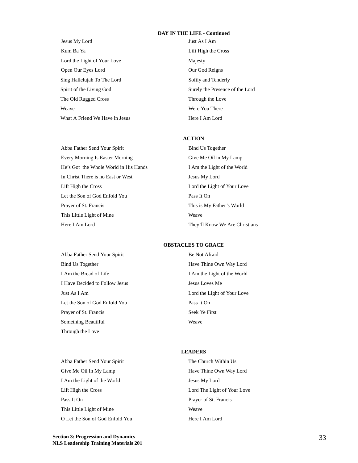#### **DAY IN THE LIFE - Continued**

- Jesus My Lord Just As I Am Kum Ba Ya Lift High the Cross Lord the Light of Your Love Majesty Open Our Eyes Lord **Our God Reigns** Sing Hallelujah To The Lord Softly and Tenderly Spirit of the Living God Surely the Presence of the Lord The Old Rugged Cross Through the Love Weave Were You There What A Friend We Have in Jesus Here I Am Lord
	-

#### **ACTION**

Abba Father Send Your Spirit Bind Us Together Every Morning Is Easter Morning Give Me Oil in My Lamp He's Got the Whole World in His Hands I Am the Light of the World In Christ There is no East or West Jesus My Lord Lift High the Cross Lord the Light of Your Love Let the Son of God Enfold You Pass It On Prayer of St. Francis This is My Father's World This Little Light of Mine Weaver Here I Am Lord They'll Know We Are Christians

Abba Father Send Your Spirit Be Not Afraid Bind Us Together Have Thine Own Way Lord I Am the Bread of Life I Am the Light of the World I Have Decided to Follow Jesus Jesus Loves Me Just As I Am Lord the Light of Your Love Let the Son of God Enfold You Pass It On Prayer of St. Francis Seek Ye First Something Beautiful Weaver Through the Love

#### **OBSTACLES TO GRACE**

#### **LEADERS**

Give Me Oil In My Lamp Have Thine Own Way Lord I Am the Light of the World Jesus My Lord Lift High the Cross Lord The Light of Your Love Pass It On Prayer of St. Francis This Little Light of Mine Weave O Let the Son of God Enfold You Here I Am Lord

Abba Father Send Your Spirit The Church Within Us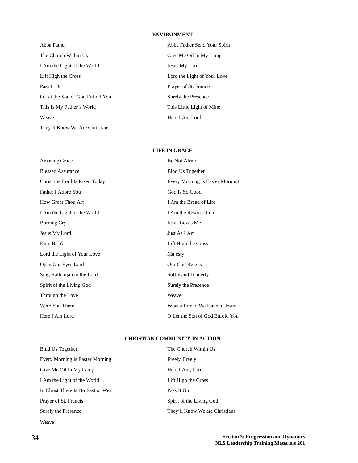#### **ENVIRONMENT**

| Abba Father                     |
|---------------------------------|
| The Church Within Us            |
| I Am the Light of the World     |
| Lift High the Cross             |
| Pass It On                      |
| O Let the Son of God Enfold You |
| This Is My Father's World       |
| Weave                           |
| They'll Know We Are Christians  |

Abba Father Send Your Spirit Give Me Oil In My Lamp Jesus My Lord Lord the Light of Your Love Prayer of St. Francis Surely the Presence This Little Light of Mine Here I Am Lord

#### **LIFE IN GRACE**

| <b>Amazing Grace</b>           | Be Not Afraid                   |
|--------------------------------|---------------------------------|
| <b>Blessed Assurance</b>       | <b>Bind Us Together</b>         |
| Christ the Lord Is Risen Today | Every Morning Is Easter Morning |
| Father I Adore You             | God Is So Good                  |
| How Great Thou Art             | I Am the Bread of Life          |
| I Am the Light of the World    | I Am the Resurrection           |
| Borning Cry                    | Jesus Loves Me                  |
| Jesus My Lord                  | Just As I Am                    |
| Kum Ba Ya                      | Lift High the Cross             |
| Lord the Light of Your Love    | Majesty                         |
| Open Our Eyes Lord             | Our God Reigns                  |
| Sing Hallelujah to the Lord    | Softly and Tenderly             |
| Spirit of the Living God       | Surely the Presence             |
| Through the Love               | Weave                           |
| Were You There                 | What a Friend We Have in Jesus  |
| Here I Am Lord                 | O Let the Son of God Enfold You |

#### **CHRISTIAN COMMUNITY IN ACTION**

| Bind Us Together                   | The Church Within Us           |
|------------------------------------|--------------------------------|
| Every Morning is Easter Morning    | Freely, Freely                 |
| Give Me Oil In My Lamp             | Here I Am, Lord                |
| I Am the Light of the World        | Lift High the Cross            |
| In Christ There Is No East or West | Pass It On                     |
| Prayer of St. Francis              | Spirit of the Living God       |
| Surely the Presence                | They'll Know We are Christians |
| Weave                              |                                |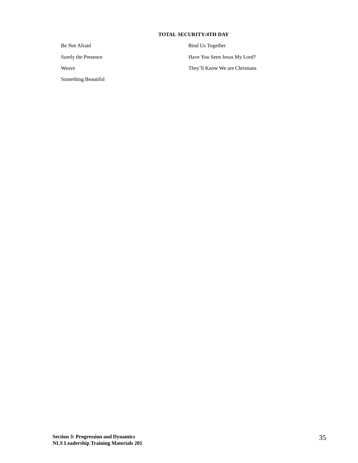#### **TOTAL SECURITY/4TH DAY**

Something Beautiful

Be Not Afraid Bind Us Together Surely the Presence Have You Seen Jesus My Lord? Weave They'll Know We are Christians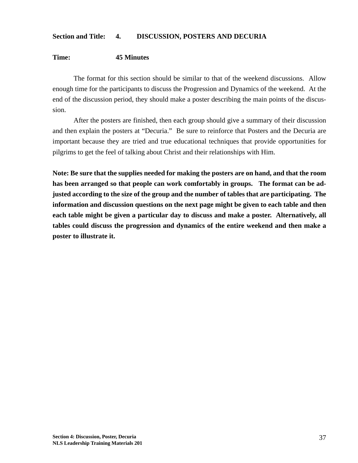### **Section and Title: 4. DISCUSSION, POSTERS AND DECURIA**

### **Time: 45 Minutes**

The format for this section should be similar to that of the weekend discussions. Allow enough time for the participants to discuss the Progression and Dynamics of the weekend. At the end of the discussion period, they should make a poster describing the main points of the discussion.

After the posters are finished, then each group should give a summary of their discussion and then explain the posters at "Decuria." Be sure to reinforce that Posters and the Decuria are important because they are tried and true educational techniques that provide opportunities for pilgrims to get the feel of talking about Christ and their relationships with Him.

**Note: Be sure that the supplies needed for making the posters are on hand, and that the room has been arranged so that people can work comfortably in groups. The format can be adjusted according to the size of the group and the number of tables that are participating. The information and discussion questions on the next page might be given to each table and then each table might be given a particular day to discuss and make a poster. Alternatively, all tables could discuss the progression and dynamics of the entire weekend and then make a poster to illustrate it.**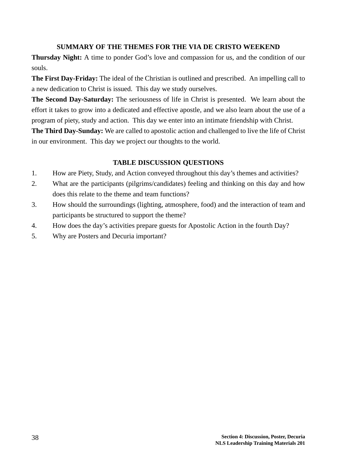### **SUMMARY OF THE THEMES FOR THE VIA DE CRISTO WEEKEND**

**Thursday Night:** A time to ponder God's love and compassion for us, and the condition of our souls.

**The First Day-Friday:** The ideal of the Christian is outlined and prescribed. An impelling call to a new dedication to Christ is issued. This day we study ourselves.

**The Second Day-Saturday:** The seriousness of life in Christ is presented. We learn about the effort it takes to grow into a dedicated and effective apostle, and we also learn about the use of a program of piety, study and action. This day we enter into an intimate friendship with Christ.

**The Third Day-Sunday:** We are called to apostolic action and challenged to live the life of Christ in our environment. This day we project our thoughts to the world.

### **TABLE DISCUSSION QUESTIONS**

- 1. How are Piety, Study, and Action conveyed throughout this day's themes and activities?
- 2. What are the participants (pilgrims/candidates) feeling and thinking on this day and how does this relate to the theme and team functions?
- 3. How should the surroundings (lighting, atmosphere, food) and the interaction of team and participants be structured to support the theme?
- 4. How does the day's activities prepare guests for Apostolic Action in the fourth Day?
- 5. Why are Posters and Decuria important?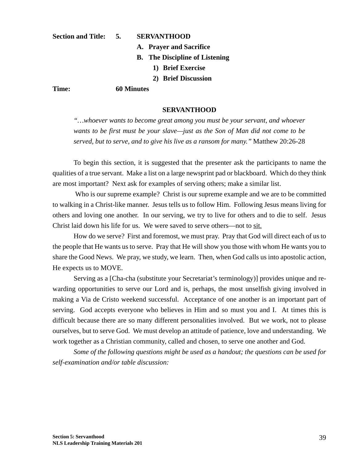#### **Section and Title: 5. SERVANTHOOD**

- **A. Prayer and Sacrifice**
- **B. The Discipline of Listening**
	- **1) Brief Exercise**
	- **2) Brief Discussion**

**Time: 60 Minutes**

#### **SERVANTHOOD**

*"…whoever wants to become great among you must be your servant, and whoever wants to be first must be your slave—just as the Son of Man did not come to be served, but to serve, and to give his live as a ransom for many."* Matthew 20:26-28

To begin this section, it is suggested that the presenter ask the participants to name the qualities of a true servant. Make a list on a large newsprint pad or blackboard. Which do they think are most important? Next ask for examples of serving others; make a similar list.

 Who is our supreme example? Christ is our supreme example and we are to be committed to walking in a Christ-like manner. Jesus tells us to follow Him. Following Jesus means living for others and loving one another. In our serving, we try to live for others and to die to self. Jesus Christ laid down his life for us. We were saved to serve others—not to sit.

How do we serve? First and foremost, we must pray. Pray that God will direct each of us to the people that He wants us to serve. Pray that He will show you those with whom He wants you to share the Good News. We pray, we study, we learn. Then, when God calls us into apostolic action, He expects us to MOVE.

Serving as a [Cha-cha (substitute your Secretariat's terminology)] provides unique and rewarding opportunities to serve our Lord and is, perhaps, the most unselfish giving involved in making a Via de Cristo weekend successful. Acceptance of one another is an important part of serving. God accepts everyone who believes in Him and so must you and I. At times this is difficult because there are so many different personalities involved. But we work, not to please ourselves, but to serve God. We must develop an attitude of patience, love and understanding. We work together as a Christian community, called and chosen, to serve one another and God.

*Some of the following questions might be used as a handout; the questions can be used for self-examination and/or table discussion:*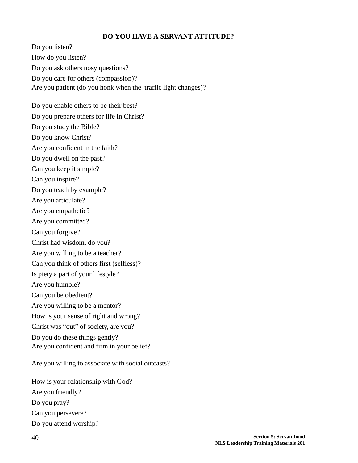### **DO YOU HAVE A SERVANT ATTITUDE?**

Do you listen? How do you listen? Do you ask others nosy questions? Do you care for others (compassion)? Are you patient (do you honk when the traffic light changes)? Do you enable others to be their best? Do you prepare others for life in Christ? Do you study the Bible? Do you know Christ? Are you confident in the faith? Do you dwell on the past? Can you keep it simple? Can you inspire? Do you teach by example? Are you articulate? Are you empathetic? Are you committed? Can you forgive? Christ had wisdom, do you? Are you willing to be a teacher? Can you think of others first (selfless)? Is piety a part of your lifestyle? Are you humble? Can you be obedient? Are you willing to be a mentor? How is your sense of right and wrong? Christ was "out" of society, are you? Do you do these things gently? Are you confident and firm in your belief? Are you willing to associate with social outcasts?

How is your relationship with God? Are you friendly? Do you pray? Can you persevere? Do you attend worship?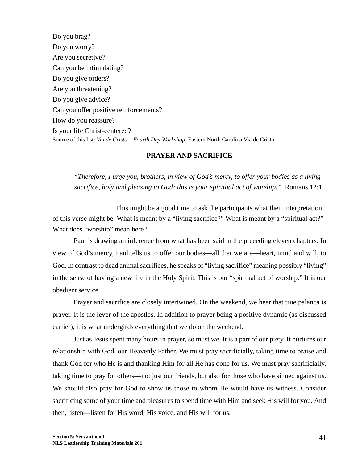Do you brag? Do you worry? Are you secretive? Can you be intimidating? Do you give orders? Are you threatening? Do you give advice? Can you offer positive reinforcements? How do you reassure? Is your life Christ-centered? Source of this list: *Via de Cristo – Fourth Day Workshop,* Eastern North Carolina Via de Cristo

### **PRAYER AND SACRIFICE**

*"Therefore, I urge you, brothers, in view of God's mercy, to offer your bodies as a living sacrifice, holy and pleasing to God; this is your spiritual act of worship."* Romans 12:1

This might be a good time to ask the participants what their interpretation of this verse might be. What is meant by a "living sacrifice?" What is meant by a "spiritual act?" What does "worship" mean here?

Paul is drawing an inference from what has been said in the preceding eleven chapters. In view of God's mercy, Paul tells us to offer our bodies—all that we are—heart, mind and will, to God. In contrast to dead animal sacrifices, he speaks of "living sacrifice" meaning possibly "living" in the sense of having a new life in the Holy Spirit. This is our "spiritual act of worship." It is our obedient service.

Prayer and sacrifice are closely intertwined. On the weekend, we hear that true palanca is prayer. It is the lever of the apostles. In addition to prayer being a positive dynamic (as discussed earlier), it is what undergirds everything that we do on the weekend.

Just as Jesus spent many hours in prayer, so must we. It is a part of our piety. It nurtures our relationship with God, our Heavenly Father. We must pray sacrificially, taking time to praise and thank God for who He is and thanking Him for all He has done for us. We must pray sacrificially, taking time to pray for others—not just our friends, but also for those who have sinned against us. We should also pray for God to show us those to whom He would have us witness. Consider sacrificing some of your time and pleasures to spend time with Him and seek His will for you. And then, listen—listen for His word, His voice, and His will for us.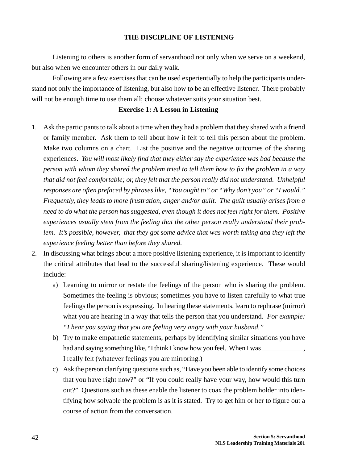#### **THE DISCIPLINE OF LISTENING**

Listening to others is another form of servanthood not only when we serve on a weekend, but also when we encounter others in our daily walk.

Following are a few exercises that can be used experientially to help the participants understand not only the importance of listening, but also how to be an effective listener. There probably will not be enough time to use them all; choose whatever suits your situation best.

#### **Exercise 1: A Lesson in Listening**

- 1. Ask the participants to talk about a time when they had a problem that they shared with a friend or family member. Ask them to tell about how it felt to tell this person about the problem. Make two columns on a chart. List the positive and the negative outcomes of the sharing experiences. *You will most likely find that they either say the experience was bad because the person with whom they shared the problem tried to tell them how to fix the problem in a way that did not feel comfortable; or, they felt that the person really did not understand. Unhelpful responses are often prefaced by phrases like, "You ought to" or "Why don't you" or "I would." Frequently, they leads to more frustration, anger and/or guilt. The guilt usually arises from a need to do what the person has suggested, even though it does not feel right for them. Positive experiences usually stem from the feeling that the other person really understood their problem. It's possible, however, that they got some advice that was worth taking and they left the experience feeling better than before they shared.*
- 2. In discussing what brings about a more positive listening experience, it is important to identify the critical attributes that lead to the successful sharing/listening experience. These would include:
	- a) Learning to mirror or restate the feelings of the person who is sharing the problem. Sometimes the feeling is obvious; sometimes you have to listen carefully to what true feelings the person is expressing. In hearing these statements, learn to rephrase (mirror) what you are hearing in a way that tells the person that you understand. *For example: "I hear you saying that you are feeling very angry with your husband."*
	- b) Try to make empathetic statements, perhaps by identifying similar situations you have had and saying something like, "I think I know how you feel. When I was \_\_\_\_\_\_\_\_\_\_, I really felt (whatever feelings you are mirroring.)
	- c) Ask the person clarifying questions such as, "Have you been able to identify some choices that you have right now?" or "If you could really have your way, how would this turn out?" Questions such as these enable the listener to coax the problem holder into identifying how solvable the problem is as it is stated. Try to get him or her to figure out a course of action from the conversation.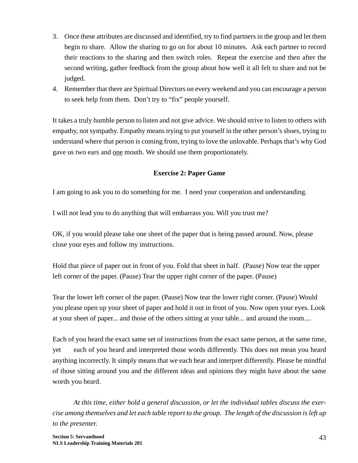- 3. Once these attributes are discussed and identified, try to find partners in the group and let them begin to share. Allow the sharing to go on for about 10 minutes. Ask each partner to record their reactions to the sharing and then switch roles. Repeat the exercise and then after the second writing, gather feedback from the group about how well it all felt to share and not be judged.
- 4. Remember that there are Spiritual Directors on every weekend and you can encourage a person to seek help from them. Don't try to "fix" people yourself.

It takes a truly humble person to listen and not give advice. We should strive to listen to others with empathy, not sympathy. Empathy means trying to put yourself in the other person's shoes, trying to understand where that person is coming from, trying to love the unlovable. Perhaps that's why God gave us two ears and one mouth. We should use them proportionately.

### **Exercise 2: Paper Game**

I am going to ask you to do something for me. I need your cooperation and understanding.

I will not lead you to do anything that will embarrass you. Will you trust me?

OK, if you would please take one sheet of the paper that is being passed around. Now, please close your eyes and follow my instructions.

Hold that piece of paper out in front of you. Fold that sheet in half. (Pause) Now tear the upper left corner of the paper. (Pause) Tear the upper right corner of the paper. (Pause)

Tear the lower left corner of the paper. (Pause) Now tear the lower right corner. (Pause) Would you please open up your sheet of paper and hold it out in front of you. Now open your eyes. Look at your sheet of paper... and those of the others sitting at your table... and around the room....

Each of you heard the exact same set of instructions from the exact same person, at the same time, yet each of you heard and interpreted those words differently. This does not mean you heard anything incorrectly. It simply means that we each hear and interpret differently. Please be mindful of those sitting around you and the different ideas and opinions they might have about the same words you heard.

*At this time, either hold a general discussion, or let the individual tables discuss the exercise among themselves and let each table report to the group. The length of the discussion is left up to the presenter.*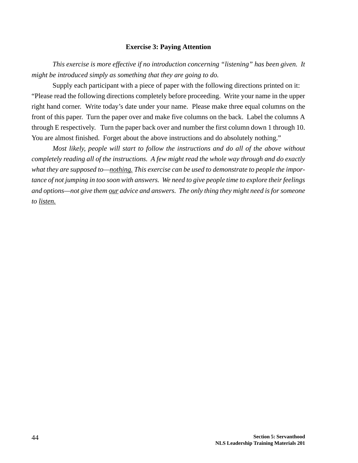#### **Exercise 3: Paying Attention**

*This exercise is more effective if no introduction concerning "listening" has been given. It might be introduced simply as something that they are going to do.*

Supply each participant with a piece of paper with the following directions printed on it: "Please read the following directions completely before proceeding. Write your name in the upper right hand corner. Write today's date under your name. Please make three equal columns on the front of this paper. Turn the paper over and make five columns on the back. Label the columns A through E respectively. Turn the paper back over and number the first column down 1 through 10. You are almost finished. Forget about the above instructions and do absolutely nothing."

*Most likely, people will start to follow the instructions and do all of the above without completely reading all of the instructions. A few might read the whole way through and do exactly what they are supposed to—nothing. This exercise can be used to demonstrate to people the importance of not jumping in too soon with answers. We need to give people time to explore their feelings and options—not give them our advice and answers. The only thing they might need is for someone to listen.*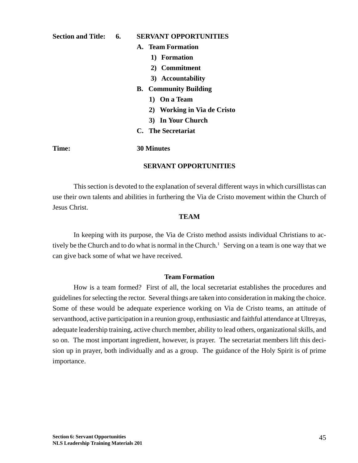#### **Section and Title: 6. SERVANT OPPORTUNITIES**

- **A. Team Formation**
	- **1) Formation**
	- **2) Commitment**
	- **3) Accountability**
- **B. Community Building**
	- **1) On a Team**
	- **2) Working in Via de Cristo**
	- **3) In Your Church**
- **C. The Secretariat**

#### **Time: 30 Minutes**

#### **SERVANT OPPORTUNITIES**

This section is devoted to the explanation of several different ways in which cursillistas can use their own talents and abilities in furthering the Via de Cristo movement within the Church of Jesus Christ.

#### **TEAM**

In keeping with its purpose, the Via de Cristo method assists individual Christians to actively be the Church and to do what is normal in the Church.<sup>1</sup> Serving on a team is one way that we can give back some of what we have received.

#### **Team Formation**

How is a team formed? First of all, the local secretariat establishes the procedures and guidelines for selecting the rector. Several things are taken into consideration in making the choice. Some of these would be adequate experience working on Via de Cristo teams, an attitude of servanthood, active participation in a reunion group, enthusiastic and faithful attendance at Ultreyas, adequate leadership training, active church member, ability to lead others, organizational skills, and so on. The most important ingredient, however, is prayer. The secretariat members lift this decision up in prayer, both individually and as a group. The guidance of the Holy Spirit is of prime importance.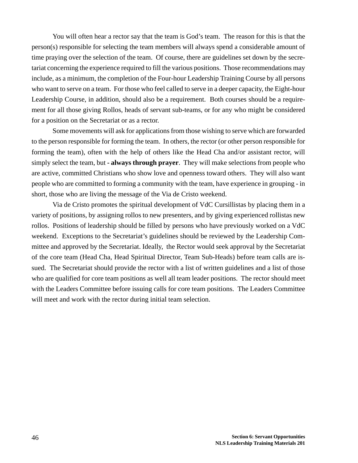You will often hear a rector say that the team is God's team. The reason for this is that the person(s) responsible for selecting the team members will always spend a considerable amount of time praying over the selection of the team. Of course, there are guidelines set down by the secretariat concerning the experience required to fill the various positions. Those recommendations may include, as a minimum, the completion of the Four-hour Leadership Training Course by all persons who want to serve on a team. For those who feel called to serve in a deeper capacity, the Eight-hour Leadership Course, in addition, should also be a requirement. Both courses should be a requirement for all those giving Rollos, heads of servant sub-teams, or for any who might be considered for a position on the Secretariat or as a rector.

Some movements will ask for applications from those wishing to serve which are forwarded to the person responsible for forming the team. In others, the rector (or other person responsible for forming the team), often with the help of others like the Head Cha and/or assistant rector, will simply select the team, but **- always through prayer**. They will make selections from people who are active, committed Christians who show love and openness toward others. They will also want people who are committed to forming a community with the team, have experience in grouping - in short, those who are living the message of the Via de Cristo weekend.

Via de Cristo promotes the spiritual development of VdC Cursillistas by placing them in a variety of positions, by assigning rollos to new presenters, and by giving experienced rollistas new rollos. Positions of leadership should be filled by persons who have previously worked on a VdC weekend. Exceptions to the Secretariat's guidelines should be reviewed by the Leadership Committee and approved by the Secretariat. Ideally, the Rector would seek approval by the Secretariat of the core team (Head Cha, Head Spiritual Director, Team Sub-Heads) before team calls are issued. The Secretariat should provide the rector with a list of written guidelines and a list of those who are qualified for core team positions as well all team leader positions. The rector should meet with the Leaders Committee before issuing calls for core team positions. The Leaders Committee will meet and work with the rector during initial team selection.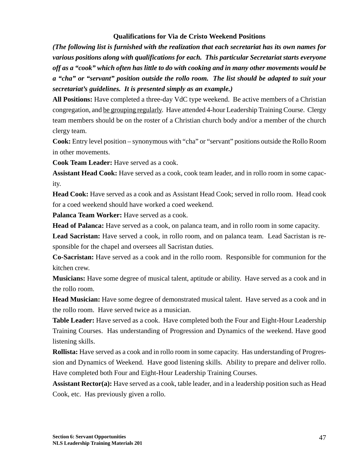### **Qualifications for Via de Cristo Weekend Positions**

*(The following list is furnished with the realization that each secretariat has its own names for various positions along with qualifications for each. This particular Secretariat starts everyone off as a "cook" which often has little to do with cooking and in many other movements would be a "cha" or "servant" position outside the rollo room. The list should be adapted to suit your secretariat's guidelines. It is presented simply as an example.)*

**All Positions:** Have completed a three-day VdC type weekend. Be active members of a Christian congregation, and be grouping regularly. Have attended 4-hour Leadership Training Course. Clergy team members should be on the roster of a Christian church body and/or a member of the church clergy team.

**Cook:** Entry level position – synonymous with "cha" or "servant" positions outside the Rollo Room in other movements.

**Cook Team Leader:** Have served as a cook.

**Assistant Head Cook:** Have served as a cook, cook team leader, and in rollo room in some capacity.

**Head Cook:** Have served as a cook and as Assistant Head Cook; served in rollo room. Head cook for a coed weekend should have worked a coed weekend.

Palanca Team Worker: Have served as a cook.

**Head of Palanca:** Have served as a cook, on palanca team, and in rollo room in some capacity.

**Lead Sacristan:** Have served a cook, in rollo room, and on palanca team. Lead Sacristan is responsible for the chapel and oversees all Sacristan duties.

**Co-Sacristan:** Have served as a cook and in the rollo room. Responsible for communion for the kitchen crew.

**Musicians:** Have some degree of musical talent, aptitude or ability. Have served as a cook and in the rollo room.

**Head Musician:** Have some degree of demonstrated musical talent. Have served as a cook and in the rollo room. Have served twice as a musician.

Table Leader: Have served as a cook. Have completed both the Four and Eight-Hour Leadership Training Courses. Has understanding of Progression and Dynamics of the weekend. Have good listening skills.

**Rollista:** Have served as a cook and in rollo room in some capacity. Has understanding of Progression and Dynamics of Weekend. Have good listening skills. Ability to prepare and deliver rollo. Have completed both Four and Eight-Hour Leadership Training Courses.

**Assistant Rector(a):** Have served as a cook, table leader, and in a leadership position such as Head Cook, etc. Has previously given a rollo.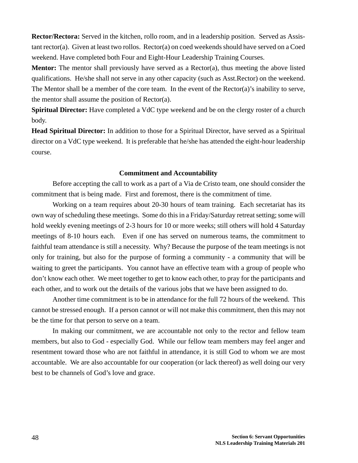**Rector/Rectora:** Served in the kitchen, rollo room, and in a leadership position. Served as Assistant rector(a). Given at least two rollos. Rector(a) on coed weekends should have served on a Coed weekend. Have completed both Four and Eight-Hour Leadership Training Courses.

**Mentor:** The mentor shall previously have served as a Rector(a), thus meeting the above listed qualifications. He/she shall not serve in any other capacity (such as Asst.Rector) on the weekend. The Mentor shall be a member of the core team. In the event of the Rector(a)'s inability to serve, the mentor shall assume the position of Rector(a).

**Spiritual Director:** Have completed a VdC type weekend and be on the clergy roster of a church body.

**Head Spiritual Director:** In addition to those for a Spiritual Director, have served as a Spiritual director on a VdC type weekend. It is preferable that he/she has attended the eight-hour leadership course.

#### **Commitment and Accountability**

Before accepting the call to work as a part of a Via de Cristo team, one should consider the commitment that is being made. First and foremost, there is the commitment of time.

Working on a team requires about 20-30 hours of team training. Each secretariat has its own way of scheduling these meetings. Some do this in a Friday/Saturday retreat setting; some will hold weekly evening meetings of 2-3 hours for 10 or more weeks; still others will hold 4 Saturday meetings of 8-10 hours each. Even if one has served on numerous teams, the commitment to faithful team attendance is still a necessity. Why? Because the purpose of the team meetings is not only for training, but also for the purpose of forming a community - a community that will be waiting to greet the participants. You cannot have an effective team with a group of people who don't know each other. We meet together to get to know each other, to pray for the participants and each other, and to work out the details of the various jobs that we have been assigned to do.

Another time commitment is to be in attendance for the full 72 hours of the weekend. This cannot be stressed enough. If a person cannot or will not make this commitment, then this may not be the time for that person to serve on a team.

In making our commitment, we are accountable not only to the rector and fellow team members, but also to God - especially God. While our fellow team members may feel anger and resentment toward those who are not faithful in attendance, it is still God to whom we are most accountable. We are also accountable for our cooperation (or lack thereof) as well doing our very best to be channels of God's love and grace.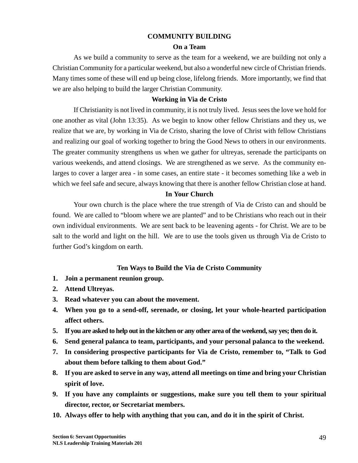#### **COMMUNITY BUILDING**

#### **On a Team**

As we build a community to serve as the team for a weekend, we are building not only a Christian Community for a particular weekend, but also a wonderful new circle of Christian friends. Many times some of these will end up being close, lifelong friends. More importantly, we find that we are also helping to build the larger Christian Community.

#### **Working in Via de Cristo**

If Christianity is not lived in community, it is not truly lived. Jesus sees the love we hold for one another as vital (John 13:35). As we begin to know other fellow Christians and they us, we realize that we are, by working in Via de Cristo, sharing the love of Christ with fellow Christians and realizing our goal of working together to bring the Good News to others in our environments. The greater community strengthens us when we gather for ultreyas, serenade the participants on various weekends, and attend closings. We are strengthened as we serve. As the community enlarges to cover a larger area - in some cases, an entire state - it becomes something like a web in which we feel safe and secure, always knowing that there is another fellow Christian close at hand.

#### **In Your Church**

Your own church is the place where the true strength of Via de Cristo can and should be found. We are called to "bloom where we are planted" and to be Christians who reach out in their own individual environments. We are sent back to be leavening agents - for Christ. We are to be salt to the world and light on the hill. We are to use the tools given us through Via de Cristo to further God's kingdom on earth.

#### **Ten Ways to Build the Via de Cristo Community**

- **1. Join a permanent reunion group.**
- **2. Attend Ultreyas.**
- **3. Read whatever you can about the movement.**
- **4. When you go to a send-off, serenade, or closing, let your whole-hearted participation affect others.**
- **5. If you are asked to help out in the kitchen or any other area of the weekend, say yes; then do it.**
- **6. Send general palanca to team, participants, and your personal palanca to the weekend.**
- **7. In considering prospective participants for Via de Cristo, remember to, "Talk to God about them before talking to them about God."**
- **8. If you are asked to serve in any way, attend all meetings on time and bring your Christian spirit of love.**
- **9. If you have any complaints or suggestions, make sure you tell them to your spiritual director, rector, or Secretariat members.**
- **10. Always offer to help with anything that you can, and do it in the spirit of Christ.**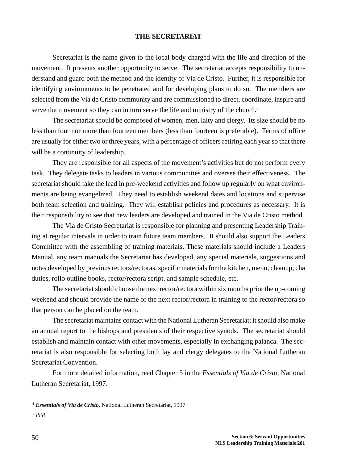#### **THE SECRETARIAT**

Secretariat is the name given to the local body charged with the life and direction of the movement. It presents another opportunity to serve. The secretariat accepts responsibility to understand and guard both the method and the identity of Via de Cristo. Further, it is responsible for identifying environments to be penetrated and for developing plans to do so. The members are selected from the Via de Cristo community and are commissioned to direct, coordinate, inspire and serve the movement so they can in turn serve the life and ministry of the church.<sup>2</sup>

The secretariat should be composed of women, men, laity and clergy. Its size should be no less than four nor more than fourteen members (less than fourteen is preferable). Terms of office are usually for either two or three years, with a percentage of officers retiring each year so that there will be a continuity of leadership.

They are responsible for all aspects of the movement's activities but do not perform every task. They delegate tasks to leaders in various communities and oversee their effectiveness. The secretariat should take the lead in pre-weekend activities and follow up regularly on what environments are being evangelized. They need to establish weekend dates and locations and supervise both team selection and training. They will establish policies and procedures as necessary. It is their responsibility to see that new leaders are developed and trained in the Via de Cristo method.

The Via de Cristo Secretariat is responsible for planning and presenting Leadership Training at regular intervals in order to train future team members. It should also support the Leaders Committee with the assembling of training materials. These materials should include a Leaders Manual, any team manuals the Secretariat has developed, any special materials, suggestions and notes developed by previous rectors/rectoras, specific materials for the kitchen, menu, cleanup, cha duties, rollo outline books, rector/rectora script, and sample schedule, etc.

The secretariat should choose the next rector/rectora within six months prior the up-coming weekend and should provide the name of the next rector/rectora in training to the rector/rectora so that person can be placed on the team.

The secretariat maintains contact with the National Lutheran Secretariat; it should also make an annual report to the bishops and presidents of their respective synods. The secretariat should establish and maintain contact with other movements, especially in exchanging palanca. The secretariat is also responsible for selecting both lay and clergy delegates to the National Lutheran Secretariat Convention.

For more detailed information, read Chapter 5 in the *Essentials of Via de Cristo,* National Lutheran Secretariat, 1997.

<sup>1</sup> *Essentials of Via de Cristo*, National Lutheran Secretariat, 1997 <sup>2</sup> *ibid.*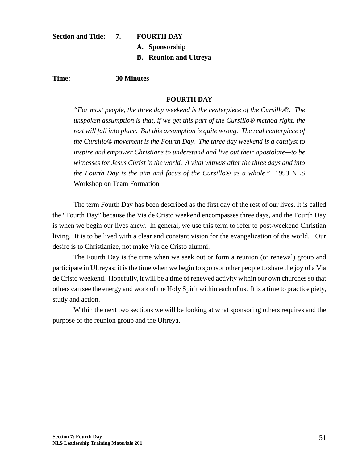#### **Section and Title: 7. FOURTH DAY**

- 
- **A. Sponsorship**
- **B. Reunion and Ultreya**

#### **Time: 30 Minutes**

#### **FOURTH DAY**

*"For most people, the three day weekend is the centerpiece of the Cursillo®. The unspoken assumption is that, if we get this part of the Cursillo® method right, the rest will fall into place. But this assumption is quite wrong. The real centerpiece of the Cursillo® movement is the Fourth Day. The three day weekend is a catalyst to inspire and empower Christians to understand and live out their apostolate—to be witnesses for Jesus Christ in the world. A vital witness after the three days and into the Fourth Day is the aim and focus of the Cursillo® as a whole*." 1993 NLS Workshop on Team Formation

The term Fourth Day has been described as the first day of the rest of our lives. It is called the "Fourth Day" because the Via de Cristo weekend encompasses three days, and the Fourth Day is when we begin our lives anew. In general, we use this term to refer to post-weekend Christian living. It is to be lived with a clear and constant vision for the evangelization of the world. Our desire is to Christianize, not make Via de Cristo alumni.

The Fourth Day is the time when we seek out or form a reunion (or renewal) group and participate in Ultreyas; it is the time when we begin to sponsor other people to share the joy of a Via de Cristo weekend. Hopefully, it will be a time of renewed activity within our own churches so that others can see the energy and work of the Holy Spirit within each of us. It is a time to practice piety, study and action.

Within the next two sections we will be looking at what sponsoring others requires and the purpose of the reunion group and the Ultreya.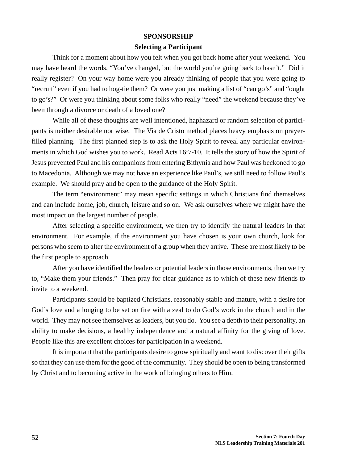#### **SPONSORSHIP**

#### **Selecting a Participant**

Think for a moment about how you felt when you got back home after your weekend. You may have heard the words, "You've changed, but the world you're going back to hasn't." Did it really register? On your way home were you already thinking of people that you were going to "recruit" even if you had to hog-tie them? Or were you just making a list of "can go's" and "ought to go's?" Or were you thinking about some folks who really "need" the weekend because they've been through a divorce or death of a loved one?

While all of these thoughts are well intentioned, haphazard or random selection of participants is neither desirable nor wise. The Via de Cristo method places heavy emphasis on prayerfilled planning. The first planned step is to ask the Holy Spirit to reveal any particular environments in which God wishes you to work. Read Acts 16:7-10. It tells the story of how the Spirit of Jesus prevented Paul and his companions from entering Bithynia and how Paul was beckoned to go to Macedonia. Although we may not have an experience like Paul's, we still need to follow Paul's example. We should pray and be open to the guidance of the Holy Spirit.

The term "environment" may mean specific settings in which Christians find themselves and can include home, job, church, leisure and so on. We ask ourselves where we might have the most impact on the largest number of people.

After selecting a specific environment, we then try to identify the natural leaders in that environment. For example, if the environment you have chosen is your own church, look for persons who seem to alter the environment of a group when they arrive. These are most likely to be the first people to approach.

After you have identified the leaders or potential leaders in those environments, then we try to, "Make them your friends." Then pray for clear guidance as to which of these new friends to invite to a weekend.

Participants should be baptized Christians, reasonably stable and mature, with a desire for God's love and a longing to be set on fire with a zeal to do God's work in the church and in the world. They may not see themselves as leaders, but you do. You see a depth to their personality, an ability to make decisions, a healthy independence and a natural affinity for the giving of love. People like this are excellent choices for participation in a weekend.

It is important that the participants desire to grow spiritually and want to discover their gifts so that they can use them for the good of the community. They should be open to being transformed by Christ and to becoming active in the work of bringing others to Him.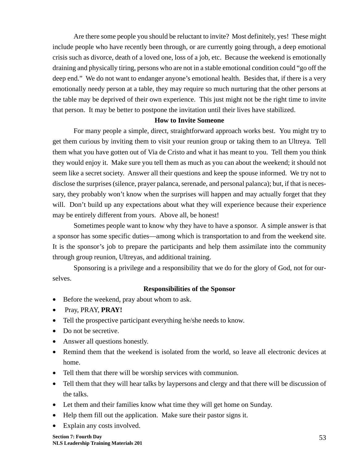Are there some people you should be reluctant to invite? Most definitely, yes! These might include people who have recently been through, or are currently going through, a deep emotional crisis such as divorce, death of a loved one, loss of a job, etc. Because the weekend is emotionally draining and physically tiring, persons who are not in a stable emotional condition could "go off the deep end." We do not want to endanger anyone's emotional health. Besides that, if there is a very emotionally needy person at a table, they may require so much nurturing that the other persons at the table may be deprived of their own experience. This just might not be the right time to invite that person. It may be better to postpone the invitation until their lives have stabilized.

#### **How to Invite Someone**

For many people a simple, direct, straightforward approach works best. You might try to get them curious by inviting them to visit your reunion group or taking them to an Ultreya. Tell them what you have gotten out of Via de Cristo and what it has meant to you. Tell them you think they would enjoy it. Make sure you tell them as much as you can about the weekend; it should not seem like a secret society. Answer all their questions and keep the spouse informed. We try not to disclose the surprises (silence, prayer palanca, serenade, and personal palanca); but, if that is necessary, they probably won't know when the surprises will happen and may actually forget that they will. Don't build up any expectations about what they will experience because their experience may be entirely different from yours. Above all, be honest!

Sometimes people want to know why they have to have a sponsor. A simple answer is that a sponsor has some specific duties—among which is transportation to and from the weekend site. It is the sponsor's job to prepare the participants and help them assimilate into the community through group reunion, Ultreyas, and additional training.

Sponsoring is a privilege and a responsibility that we do for the glory of God, not for ourselves.

#### **Responsibilities of the Sponsor**

- Before the weekend, pray about whom to ask.
- Pray, PRAY, **PRAY!**
- Tell the prospective participant everything he/she needs to know.
- Do not be secretive.
- Answer all questions honestly.
- Remind them that the weekend is isolated from the world, so leave all electronic devices at home.
- Tell them that there will be worship services with communion.
- Tell them that they will hear talks by laypersons and clergy and that there will be discussion of the talks.
- Let them and their families know what time they will get home on Sunday.
- Help them fill out the application. Make sure their pastor signs it.
- Explain any costs involved.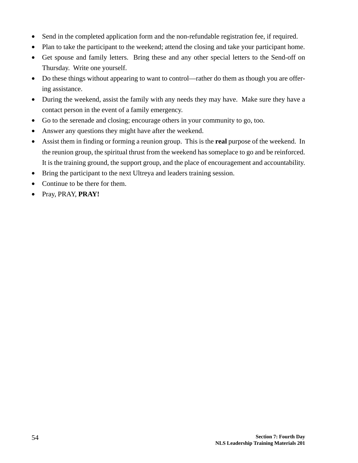- Send in the completed application form and the non-refundable registration fee, if required.
- Plan to take the participant to the weekend; attend the closing and take your participant home.
- Get spouse and family letters. Bring these and any other special letters to the Send-off on Thursday. Write one yourself.
- Do these things without appearing to want to control—rather do them as though you are offering assistance.
- During the weekend, assist the family with any needs they may have. Make sure they have a contact person in the event of a family emergency.
- Go to the serenade and closing; encourage others in your community to go, too.
- Answer any questions they might have after the weekend.
- Assist them in finding or forming a reunion group. This is the **real** purpose of the weekend. In the reunion group, the spiritual thrust from the weekend has someplace to go and be reinforced. It is the training ground, the support group, and the place of encouragement and accountability.
- Bring the participant to the next Ultreya and leaders training session.
- Continue to be there for them.
- Pray, PRAY, **PRAY!**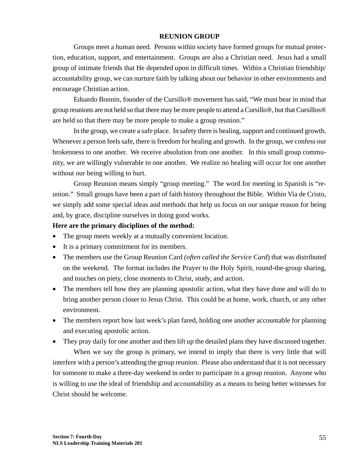#### **REUNION GROUP**

Groups meet a human need. Persons within society have formed groups for mutual protection, education, support, and entertainment. Groups are also a Christian need. Jesus had a small group of intimate friends that He depended upon in difficult times. Within a Christian friendship/ accountability group, we can nurture faith by talking about our behavior in other environments and encourage Christian action.

Eduardo Bonnin, founder of the Cursillo® movement has said, "We must bear in mind that group reunions are not held so that there may be more people to attend a Cursillo®, but that Cursillos® are held so that there may be more people to make a group reunion."

In the group, we create a safe place. In safety there is healing, support and continued growth. Whenever a person feels safe, there is freedom for healing and growth. In the group, we confess our brokenness to one another. We receive absolution from one another. In this small group community, we are willingly vulnerable to one another. We realize no healing will occur for one another without our being willing to hurt.

Group Reunion means simply "group meeting." The word for meeting in Spanish is "reunion." Small groups have been a part of faith history throughout the Bible. Within Via de Cristo, we simply add some special ideas and methods that help us focus on our unique reason for being and, by grace, discipline ourselves in doing good works.

#### **Here are the primary disciplines of the method:**

- The group meets weekly at a mutually convenient location.
- It is a primary commitment for its members.
- The members use the Group Reunion Card *(often called the Service Card*) that was distributed on the weekend. The format includes the Prayer to the Holy Spirit, round-the-group sharing, and touches on piety, close moments to Christ, study, and action.
- The members tell how they are planning apostolic action, what they have done and will do to bring another person closer to Jesus Christ. This could be at home, work, church, or any other environment.
- The members report how last week's plan fared, holding one another accountable for planning and executing apostolic action.
- They pray daily for one another and then lift up the detailed plans they have discussed together.

When we say the group is primary, we intend to imply that there is very little that will interfere with a person's attending the group reunion. Please also understand that it is not necessary for someone to make a three-day weekend in order to participate in a group reunion. Anyone who is willing to use the ideal of friendship and accountability as a means to being better witnesses for Christ should be welcome.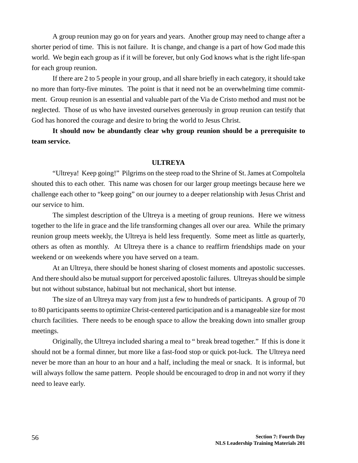A group reunion may go on for years and years. Another group may need to change after a shorter period of time. This is not failure. It is change, and change is a part of how God made this world. We begin each group as if it will be forever, but only God knows what is the right life-span for each group reunion.

If there are 2 to 5 people in your group, and all share briefly in each category, it should take no more than forty-five minutes. The point is that it need not be an overwhelming time commitment. Group reunion is an essential and valuable part of the Via de Cristo method and must not be neglected. Those of us who have invested ourselves generously in group reunion can testify that God has honored the courage and desire to bring the world to Jesus Christ.

**It should now be abundantly clear why group reunion should be a prerequisite to team service.**

#### **ULTREYA**

"Ultreya! Keep going!" Pilgrims on the steep road to the Shrine of St. James at Compoltela shouted this to each other. This name was chosen for our larger group meetings because here we challenge each other to "keep going" on our journey to a deeper relationship with Jesus Christ and our service to him.

The simplest description of the Ultreya is a meeting of group reunions. Here we witness together to the life in grace and the life transforming changes all over our area. While the primary reunion group meets weekly, the Ultreya is held less frequently. Some meet as little as quarterly, others as often as monthly. At Ultreya there is a chance to reaffirm friendships made on your weekend or on weekends where you have served on a team.

At an Ultreya, there should be honest sharing of closest moments and apostolic successes. And there should also be mutual support for perceived apostolic failures. Ultreyas should be simple but not without substance, habitual but not mechanical, short but intense.

The size of an Ultreya may vary from just a few to hundreds of participants. A group of 70 to 80 participants seems to optimize Christ-centered participation and is a manageable size for most church facilities. There needs to be enough space to allow the breaking down into smaller group meetings.

Originally, the Ultreya included sharing a meal to " break bread together." If this is done it should not be a formal dinner, but more like a fast-food stop or quick pot-luck. The Ultreya need never be more than an hour to an hour and a half, including the meal or snack. It is informal, but will always follow the same pattern. People should be encouraged to drop in and not worry if they need to leave early.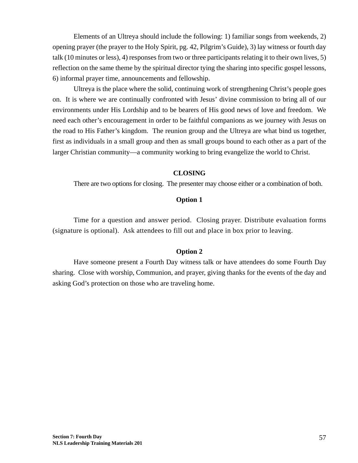Elements of an Ultreya should include the following: 1) familiar songs from weekends, 2) opening prayer (the prayer to the Holy Spirit, pg. 42, Pilgrim's Guide), 3) lay witness or fourth day talk (10 minutes or less), 4) responses from two or three participants relating it to their own lives, 5) reflection on the same theme by the spiritual director tying the sharing into specific gospel lessons, 6) informal prayer time, announcements and fellowship.

Ultreya is the place where the solid, continuing work of strengthening Christ's people goes on. It is where we are continually confronted with Jesus' divine commission to bring all of our environments under His Lordship and to be bearers of His good news of love and freedom. We need each other's encouragement in order to be faithful companions as we journey with Jesus on the road to His Father's kingdom. The reunion group and the Ultreya are what bind us together, first as individuals in a small group and then as small groups bound to each other as a part of the larger Christian community—a community working to bring evangelize the world to Christ.

#### **CLOSING**

There are two options for closing. The presenter may choose either or a combination of both.

### **Option 1**

Time for a question and answer period. Closing prayer. Distribute evaluation forms (signature is optional). Ask attendees to fill out and place in box prior to leaving.

#### **Option 2**

Have someone present a Fourth Day witness talk or have attendees do some Fourth Day sharing. Close with worship, Communion, and prayer, giving thanks for the events of the day and asking God's protection on those who are traveling home.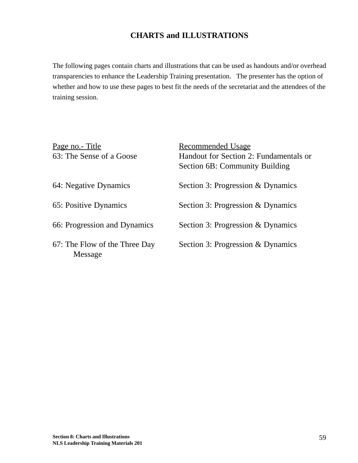### **CHARTS and ILLUSTRATIONS**

The following pages contain charts and illustrations that can be used as handouts and/or overhead transparencies to enhance the Leadership Training presentation. The presenter has the option of whether and how to use these pages to best fit the needs of the secretariat and the attendees of the training session.

| <u>Page no.- Title</u><br>63: The Sense of a Goose | <b>Recommended Usage</b><br>Handout for Section 2: Fundamentals or<br><b>Section 6B: Community Building</b> |
|----------------------------------------------------|-------------------------------------------------------------------------------------------------------------|
| 64: Negative Dynamics                              | Section 3: Progression & Dynamics                                                                           |
| 65: Positive Dynamics                              | Section 3: Progression & Dynamics                                                                           |
| 66: Progression and Dynamics                       | Section 3: Progression & Dynamics                                                                           |
| 67: The Flow of the Three Day<br>Message           | Section 3: Progression & Dynamics                                                                           |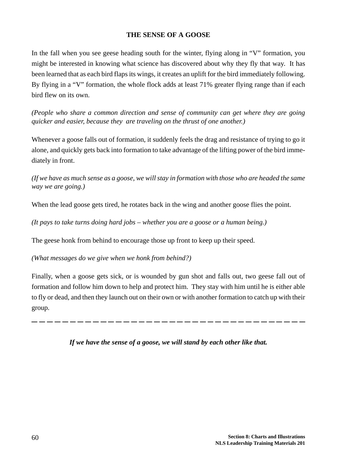### **THE SENSE OF A GOOSE**

In the fall when you see geese heading south for the winter, flying along in "V" formation, you might be interested in knowing what science has discovered about why they fly that way. It has been learned that as each bird flaps its wings, it creates an uplift for the bird immediately following. By flying in a "V" formation, the whole flock adds at least 71% greater flying range than if each bird flew on its own.

*(People who share a common direction and sense of community can get where they are going quicker and easier, because they are traveling on the thrust of one another.)*

Whenever a goose falls out of formation, it suddenly feels the drag and resistance of trying to go it alone, and quickly gets back into formation to take advantage of the lifting power of the bird immediately in front.

*(If we have as much sense as a goose, we will stay in formation with those who are headed the same way we are going.)*

When the lead goose gets tired, he rotates back in the wing and another goose flies the point.

*(It pays to take turns doing hard jobs – whether you are a goose or a human being.)*

The geese honk from behind to encourage those up front to keep up their speed.

*(What messages do we give when we honk from behind?)*

Finally, when a goose gets sick, or is wounded by gun shot and falls out, two geese fall out of formation and follow him down to help and protect him. They stay with him until he is either able to fly or dead, and then they launch out on their own or with another formation to catch up with their group.

*If we have the sense of a goose, we will stand by each other like that.*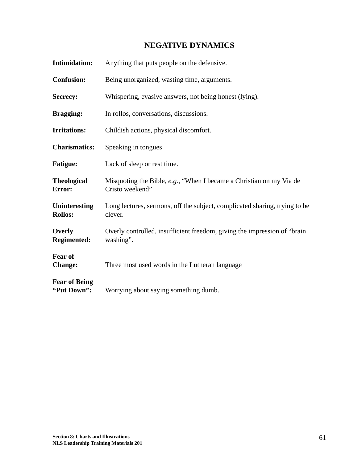### **NEGATIVE DYNAMICS**

| <b>Intimidation:</b>                | Anything that puts people on the defensive.                                            |
|-------------------------------------|----------------------------------------------------------------------------------------|
| <b>Confusion:</b>                   | Being unorganized, wasting time, arguments.                                            |
| Secrecy:                            | Whispering, evasive answers, not being honest (lying).                                 |
| <b>Bragging:</b>                    | In rollos, conversations, discussions.                                                 |
| <b>Irritations:</b>                 | Childish actions, physical discomfort.                                                 |
| <b>Charismatics:</b>                | Speaking in tongues                                                                    |
| <b>Fatigue:</b>                     | Lack of sleep or rest time.                                                            |
| <b>Theological</b><br>Error:        | Misquoting the Bible, e.g., "When I became a Christian on my Via de<br>Cristo weekend" |
| Uninteresting<br><b>Rollos:</b>     | Long lectures, sermons, off the subject, complicated sharing, trying to be<br>clever.  |
| Overly<br><b>Regimented:</b>        | Overly controlled, insufficient freedom, giving the impression of "brain"<br>washing". |
| <b>Fear of</b><br><b>Change:</b>    | Three most used words in the Lutheran language                                         |
| <b>Fear of Being</b><br>"Put Down": | Worrying about saying something dumb.                                                  |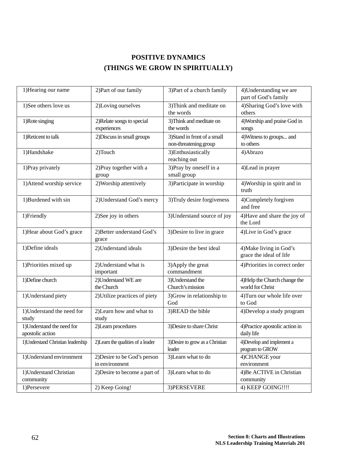## **POSITIVE DYNAMICS (THINGS WE GROW IN SPIRITUALLY)**

| 1) Hearing our name                            | 2) Part of our family                          | 3) Part of a church family                            | 4) Understanding we are<br>part of God's family    |
|------------------------------------------------|------------------------------------------------|-------------------------------------------------------|----------------------------------------------------|
| 1)See others love us                           | 2)Loving ourselves                             | 3) Think and meditate on<br>the words                 | 4) Sharing God's love with<br>others               |
| 1) Rote singing                                | 2) Relate songs to special<br>experiences      | 3) Think and meditate on<br>the words                 | 4) Worship and praise God in<br>songs              |
| 1)Reticent to talk                             | 2) Discuss in small groups                     | 3) Stand in front of a small<br>non-threatening group | 4) Witness to groups and<br>to others              |
| 1)Handshake                                    | 2)Touch                                        | 3) Enthusiastically<br>reaching out                   | 4) Abrazo                                          |
| 1) Pray privately                              | 2) Pray together with a<br>group               | $\overline{3}$ )Pray by oneself in a<br>small group   | 4) Lead in prayer                                  |
| 1) Attend worship service                      | 2) Worship attentively                         | 3) Participate in worship                             | 4) Worship in spirit and in<br>truth               |
| 1)Burdened with sin                            | 2) Understand God's mercy                      | 3) Truly desire forgiveness                           | 4)Completely forgiven<br>and free                  |
| 1)Friendly                                     | 2) See joy in others                           | 3) Understand source of joy                           | 4) Have and share the joy of<br>the Lord           |
| 1) Hear about God's grace                      | 2) Better understand God's<br>grace            | 3) Desire to live in grace                            | 4)Live in God's grace                              |
| 1) Define ideals                               | 2) Understand ideals                           | 3) Desire the best ideal                              | 4) Make living in God's<br>grace the ideal of life |
| 1) Priorities mixed up                         | 2) Understand what is<br>important             | 3) Apply the great<br>commandment                     | 4) Priorities in correct order                     |
| 1) Define church                               | 2) Understand WE are<br>the Church             | 3) Understand the<br>Church's mission                 | 4) Help the Church change the<br>world for Christ  |
| 1) Understand piety                            | 2) Utilize practices of piety                  | 3) Grow in relationship to<br>God                     | 4) Turn our whole life over<br>to God              |
| 1) Understand the need for<br>study            | 2)Learn how and what to<br>study               | 3)READ the bible                                      | 4) Develop a study program                         |
| 1) Understand the need for<br>apostolic action | 2)Learn procedures                             | 3) Desire to share Christ                             | 4) Practice apostolic action in<br>daily life      |
| 1) Understand Christian leadership             | 2) Learn the qualities of a leader             | 3) Desire to grow as a Christian<br>leader            | 4) Develop and implement a<br>program to GROW      |
| 1) Understand environment                      | 2) Desire to be God's person<br>in environment | 3)Learn what to do                                    | 4)CHANGE your<br>environment                       |
| 1) Understand Christian<br>community           | 2) Desire to become a part of                  | 3)Learn what to do                                    | 4) Be ACTIVE in Christian<br>community             |
| 1)Persevere                                    | 2) Keep Going!                                 | 3) PERSEVERE                                          | 4) KEEP GOING!!!!                                  |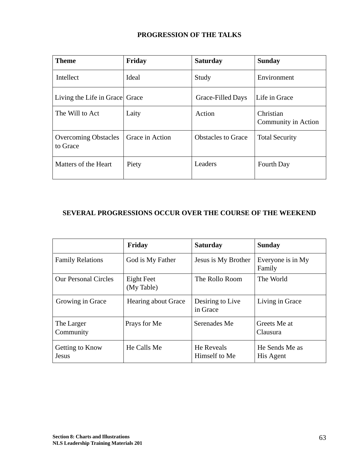### **PROGRESSION OF THE TALKS**

| <b>Theme</b>                            | Friday          | <b>Saturday</b>           | <b>Sunday</b>                    |
|-----------------------------------------|-----------------|---------------------------|----------------------------------|
| Intellect                               | Ideal           | Study                     | Environment                      |
| Living the Life in Grace Grace          |                 | Grace-Filled Days         | Life in Grace                    |
| The Will to Act                         | Laity           | Action                    | Christian<br>Community in Action |
| <b>Overcoming Obstacles</b><br>to Grace | Grace in Action | <b>Obstacles to Grace</b> | <b>Total Security</b>            |
| Matters of the Heart                    | Piety           | Leaders                   | Fourth Day                       |

## **SEVERAL PROGRESSIONS OCCUR OVER THE COURSE OF THE WEEKEND**

|                             | Friday                     | <b>Saturday</b>              | <b>Sunday</b>               |
|-----------------------------|----------------------------|------------------------------|-----------------------------|
| <b>Family Relations</b>     | God is My Father           | Jesus is My Brother          | Everyone is in My<br>Family |
| <b>Our Personal Circles</b> | Eight Feet<br>(My Table)   | The Rollo Room               | The World                   |
| Growing in Grace            | <b>Hearing about Grace</b> | Desiring to Live<br>in Grace | Living in Grace             |
| The Larger<br>Community     | Prays for Me               | Serenades Me                 | Greets Me at<br>Clausura    |
| Getting to Know<br>Jesus    | He Calls Me                | He Reveals<br>Himself to Me  | He Sends Me as<br>His Agent |